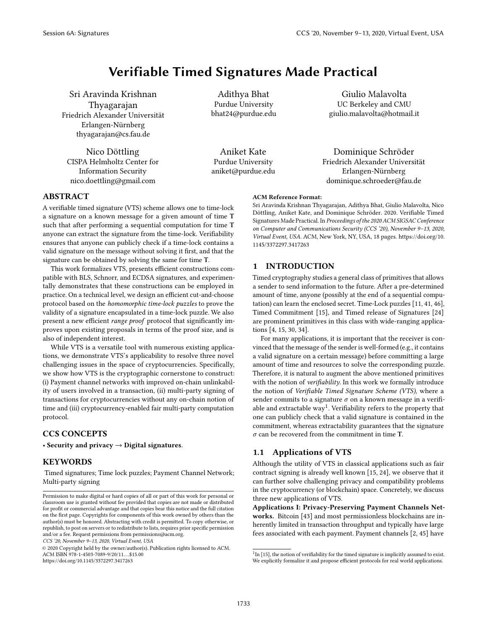# Verifiable Timed Signatures Made Practical

Sri Aravinda Krishnan Thyagarajan Friedrich Alexander Universität Erlangen-Nürnberg thyagarajan@cs.fau.de

Nico Döttling CISPA Helmholtz Center for Information Security nico.doettling@gmail.com

Adithya Bhat Purdue University bhat24@purdue.edu

Aniket Kate Purdue University aniket@purdue.edu

Giulio Malavolta UC Berkeley and CMU giulio.malavolta@hotmail.it

Dominique Schröder Friedrich Alexander Universität Erlangen-Nürnberg dominique.schroeder@fau.de

#### ACM Reference Format:

Sri Aravinda Krishnan Thyagarajan, Adithya Bhat, Giulio Malavolta, Nico Döttling, Aniket Kate, and Dominique Schröder. 2020. Verifiable Timed Signatures Made Practical. In Proceedings of the 2020 ACM SIGSAC Conference on Computer and Communications Security (CCS '20), November 9-13, 2020, Virtual Event, USA. ACM, New York, NY, USA, 18 pages. https://doi.org/10. 1145/3372297.3417263

# 1 INTRODUCTION

Timed cryptography studies a general class of primitives that allows a sender to send information to the future. After a pre-determined amount of time, anyone (possibly at the end of a sequential computation) can learn the enclosed secret. Time-Lock puzzles [11, 41, 46], Timed Commitment [15], and Timed release of Signatures [24] are prominent primitives in this class with wide-ranging applications [4, 15, 30, 34].

For many applications, it is important that the receiver is convinced that the message of the sender is well-formed (e.g., it contains a valid signature on a certain message) before committing a large amount of time and resources to solve the corresponding puzzle. Therefore, it is natural to augment the above mentioned primitives with the notion of *verifiability*. In this work we formally introduce the notion of Verifiable Timed Signature Scheme (VTS), where a sender commits to a signature  $\sigma$  on a known message in a verifiable and extractable  $way<sup>1</sup>$ . Verifiability refers to the property that one can publicly check that a valid signature is contained in the commitment, whereas extractability guarantees that the signature  $\sigma$  can be recovered from the commitment in time T.

# 1.1 Applications of VTS

Although the utility of VTS in classical applications such as fair contract signing is already well known [15, 24], we observe that it can further solve challenging privacy and compatibility problems in the cryptocurrency (or blockchain) space. Concretely, we discuss three new applications of VTS.

Applications I: Privacy-Preserving Payment Channels Networks. Bitcoin [43] and most permissionless blockchains are inherently limited in transaction throughput and typically have large fees associated with each payment. Payment channels [2, 45] have

## ABSTRACT

A verifiable timed signature (VTS) scheme allows one to time-lock a signature on a known message for a given amount of time T such that after performing a sequential computation for time T anyone can extract the signature from the time-lock. Verifiability ensures that anyone can publicly check if a time-lock contains a valid signature on the message without solving it first, and that the signature can be obtained by solving the same for time T.

This work formalizes VTS, presents efficient constructions compatible with BLS, Schnorr, and ECDSA signatures, and experimentally demonstrates that these constructions can be employed in practice. On a technical level, we design an efficient cut-and-choose protocol based on the homomorphic time-lock puzzles to prove the validity of a signature encapsulated in a time-lock puzzle. We also present a new efficient range proof protocol that significantly improves upon existing proposals in terms of the proof size, and is also of independent interest.

While VTS is a versatile tool with numerous existing applications, we demonstrate VTS's applicability to resolve three novel challenging issues in the space of cryptocurrencies. Specifically, we show how VTS is the cryptographic cornerstone to construct: (i) Payment channel networks with improved on-chain unlinkability of users involved in a transaction, (ii) multi-party signing of transactions for cryptocurrencies without any on-chain notion of time and (iii) cryptocurrency-enabled fair multi-party computation protocol.

# CCS CONCEPTS

• Security and privacy  $\rightarrow$  Digital signatures.

# KEYWORDS

Timed signatures; Time lock puzzles; Payment Channel Network; Multi-party signing

CCS '20, November 9-13, 2020, Virtual Event, USA

© 2020 Copyright held by the owner/author(s). Publication rights licensed to ACM. ACM ISBN 978-1-4503-7089-9/20/11. . . \$15.00 https://doi.org/10.1145/3372297.3417263

 $1$ In [15], the notion of verifiability for the timed signature is implicitly assumed to exist. We explicitly formalize it and propose efficient protocols for real world applications.

Permission to make digital or hard copies of all or part of this work for personal or classroom use is granted without fee provided that copies are not made or distributed for profit or commercial advantage and that copies bear this notice and the full citation on the first page. Copyrights for components of this work owned by others than the author(s) must be honored. Abstracting with credit is permitted. To copy otherwise, or republish, to post on servers or to redistribute to lists, requires prior specific permission and/or a fee. Request permissions from permissions@acm.org.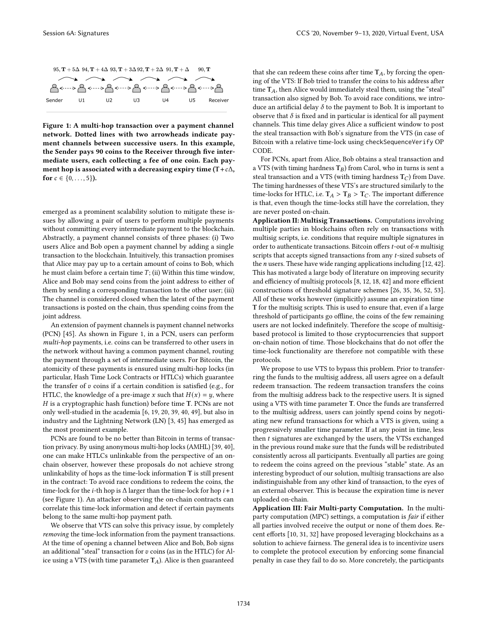

Figure 1: A multi-hop transaction over a payment channel network. Dotted lines with two arrowheads indicate payment channels between successive users. In this example, the Sender pays 90 coins to the Receiver through five intermediate users, each collecting a fee of one coin. Each payment hop is associated with a decreasing expiry time (T+ $c\Delta$ , for  $c \in \{0, \ldots, 5\}$ ).

emerged as a prominent scalability solution to mitigate these issues by allowing a pair of users to perform multiple payments without committing every intermediate payment to the blockchain. Abstractly, a payment channel consists of three phases: (i) Two users Alice and Bob open a payment channel by adding a single transaction to the blockchain. Intuitively, this transaction promises that Alice may pay up to a certain amount of coins to Bob, which he must claim before a certain time  $T$ ; (ii) Within this time window, Alice and Bob may send coins from the joint address to either of them by sending a corresponding transaction to the other user; (iii) The channel is considered closed when the latest of the payment transactions is posted on the chain, thus spending coins from the joint address.

An extension of payment channels is payment channel networks (PCN) [45]. As shown in Figure 1, in a PCN, users can perform multi-hop payments, i.e. coins can be transferred to other users in the network without having a common payment channel, routing the payment through a set of intermediate users. For Bitcoin, the atomicity of these payments is ensured using multi-hop locks (in particular, Hash Time Lock Contracts or HTLCs) which guarantee the transfer of  $v$  coins if a certain condition is satisfied (e.g., for HTLC, the knowledge of a pre-image x such that  $H(x) = y$ , where  $H$  is a cryptographic hash function) before time T. PCNs are not only well-studied in the academia [6, 19, 20, 39, 40, 49], but also in industry and the Lightning Network (LN) [3, 45] has emerged as the most prominent example.

PCNs are found to be no better than Bitcoin in terms of transaction privacy. By using anonymous multi-hop locks (AMHL) [39, 40], one can make HTLCs unlinkable from the perspective of an onchain observer, however these proposals do not achieve strong unlinkability of hops as the time-lock information T is still present in the contract: To avoid race conditions to redeem the coins, the time-lock for the *i*-th hop is  $\Delta$  larger than the time-lock for hop *i* + 1 (see Figure 1). An attacker observing the on-chain contracts can correlate this time-lock information and detect if certain payments belong to the same multi-hop payment path.

We observe that VTS can solve this privacy issue, by completely removing the time-lock information from the payment transactions. At the time of opening a channel between Alice and Bob, Bob signs an additional "steal" transaction for  $v$  coins (as in the HTLC) for Alice using a VTS (with time parameter  $T_A$ ). Alice is then guaranteed

that she can redeem these coins after time  $T_A$ , by forcing the opening of the VTS: If Bob tried to transfer the coins to his address after time  $T_A$ , then Alice would immediately steal them, using the "steal" transaction also signed by Bob. To avoid race conditions, we introduce an artificial delay  $\delta$  to the payment to Bob. It is important to observe that  $\delta$  is fixed and in particular is identical for all payment channels. This time delay gives Alice a sufficient window to post the steal transaction with Bob's signature from the VTS (in case of Bitcoin with a relative time-lock using checkSequenceVerify OP CODE.

For PCNs, apart from Alice, Bob obtains a steal transaction and a VTS (with timing hardness  $T_B$ ) from Carol, who in turns is sent a steal transaction and a VTS (with timing hardness  $T_C$ ) from Dave. The timing hardnesses of these VTS's are structured similarly to the time-locks for HTLC, i.e.  $T_A > T_B > T_C$ . The important difference is that, even though the time-locks still have the correlation, they are never posted on-chain.

Application II: Multisig Transactions. Computations involving multiple parties in blockchains often rely on transactions with multisig scripts, i.e. conditions that require multiple signatures in order to authenticate transactions. Bitcoin offers  $t$ -out of- $n$  multisig scripts that accepts signed transactions from any t-sized subsets of the *n* users. These have wide ranging applications including  $[12, 42]$ . This has motivated a large body of literature on improving security and efficiency of multisig protocols [8, 12, 18, 42] and more efficient constructions of threshold signature schemes [26, 35, 36, 52, 53]. All of these works however (implicitly) assume an expiration time T for the multisig scripts. This is used to ensure that, even if a large threshold of participants go offline, the coins of the few remaining users are not locked indefinitely. Therefore the scope of multisigbased protocol is limited to those cryptocurrencies that support on-chain notion of time. Those blockchains that do not offer the time-lock functionality are therefore not compatible with these protocols.

We propose to use VTS to bypass this problem. Prior to transferring the funds to the multisig address, all users agree on a default redeem transaction. The redeem transaction transfers the coins from the multisig address back to the respective users. It is signed using a VTS with time parameter T. Once the funds are transferred to the multisig address, users can jointly spend coins by negotiating new refund transactions for which a VTS is given, using a progressively smaller time parameter. If at any point in time, less then  $t$  signatures are exchanged by the users, the VTSs exchanged in the previous round make sure that the funds will be redistributed consistently across all participants. Eventually all parties are going to redeem the coins agreed on the previous "stable" state. As an interesting byproduct of our solution, multisig transactions are also indistinguishable from any other kind of transaction, to the eyes of an external observer. This is because the expiration time is never uploaded on-chain.

Application III: Fair Multi-party Computation. In the multiparty computation (MPC) settings, a computation is fair if either all parties involved receive the output or none of them does. Recent efforts [10, 31, 32] have proposed leveraging blockchains as a solution to achieve fairness. The general idea is to incentivize users to complete the protocol execution by enforcing some financial penalty in case they fail to do so. More concretely, the participants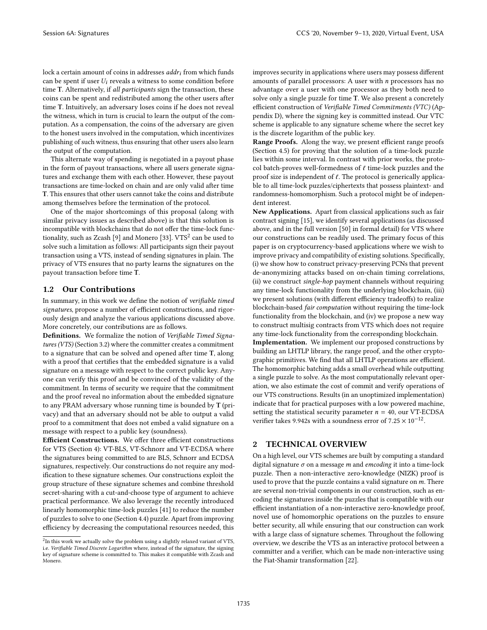lock a certain amount of coins in addresses  $addr_i$  from which funds can be spent if user  $U_i$  reveals a witness to some condition before time T. Alternatively, if all participants sign the transaction, these coins can be spent and redistributed among the other users after time T. Intuitively, an adversary loses coins if he does not reveal the witness, which in turn is crucial to learn the output of the computation. As a compensation, the coins of the adversary are given to the honest users involved in the computation, which incentivizes publishing of such witness, thus ensuring that other users also learn the output of the computation.

This alternate way of spending is negotiated in a payout phase in the form of payout transactions, where all users generate signatures and exchange them with each other. However, these payout transactions are time-locked on chain and are only valid after time T. This ensures that other users cannot take the coins and distribute among themselves before the termination of the protocol.

One of the major shortcomings of this proposal (along with similar privacy issues as described above) is that this solution is incompatible with blockchains that do not offer the time-lock functionality, such as Zcash [9] and Monero [33].  $\mathrm{VTS}^2$  can be used to solve such a limitation as follows: All participants sign their payout transaction using a VTS, instead of sending signatures in plain. The privacy of VTS ensures that no party learns the signatures on the payout transaction before time T.

#### 1.2 Our Contributions

In summary, in this work we define the notion of verifiable timed signatures, propose a number of efficient constructions, and rigorously design and analyze the various applications discussed above. More concretely, our contributions are as follows.

Definitions. We formalize the notion of Verifiable Timed Signatures (VTS) (Section 3.2) where the committer creates a commitment to a signature that can be solved and opened after time T, along with a proof that certifies that the embedded signature is a valid signature on a message with respect to the correct public key. Anyone can verify this proof and be convinced of the validity of the commitment. In terms of security we require that the commitment and the proof reveal no information about the embedded signature to any PRAM adversary whose running time is bounded by T (privacy) and that an adversary should not be able to output a valid proof to a commitment that does not embed a valid signature on a message with respect to a public key (soundness).

Efficient Constructions. We offer three efficient constructions for VTS (Section 4): VT-BLS, VT-Schnorr and VT-ECDSA where the signatures being committed to are BLS, Schnorr and ECDSA signatures, respectively. Our constructions do not require any modification to these signature schemes. Our constructions exploit the group structure of these signature schemes and combine threshold secret-sharing with a cut-and-choose type of argument to achieve practical performance. We also leverage the recently introduced linearly homomorphic time-lock puzzles [41] to reduce the number of puzzles to solve to one (Section 4.4) puzzle. Apart from improving efficiency by decreasing the computational resources needed, this

improves security in applications where users may possess different amounts of parallel processors: A user with  $n$  processors has no advantage over a user with one processor as they both need to solve only a single puzzle for time T. We also present a concretely efficient construction of Verifiable Timed Commitments (VTC) (Appendix D), where the signing key is committed instead. Our VTC scheme is applicable to any signature scheme where the secret key is the discrete logarithm of the public key.

Range Proofs. Along the way, we present efficient range proofs (Section 4.5) for proving that the solution of a time-lock puzzle lies within some interval. In contrast with prior works, the protocol batch-proves well-formedness of  $\ell$  time-lock puzzles and the proof size is independent of  $\ell$ . The protocol is generically applicable to all time-lock puzzles/ciphertexts that possess plaintext- and randomness-homomorphism. Such a protocol might be of independent interest.

New Applications. Apart from classical applications such as fair contract signing [15], we identify several applications (as discussed above, and in the full version [50] in formal detail) for VTS where our constructions can be readily used. The primary focus of this paper is on cryptocurrency-based applications where we wish to improve privacy and compatibility of existing solutions. Specifically, (i) we show how to construct privacy-preserving PCNs that prevent de-anonymizing attacks based on on-chain timing correlations, (ii) we construct single-hop payment channels without requiring any time-lock functionality from the underlying blockchain, (iii) we present solutions (with different efficiency tradeoffs) to realize blockchain-based fair computation without requiring the time-lock functionality from the blockchain, and (iv) we propose a new way to construct multisig contracts from VTS which does not require any time-lock functionality from the corresponding blockchain.

Implementation. We implement our proposed constructions by building an LHTLP library, the range proof, and the other cryptographic primitives. We find that all LHTLP operations are efficient. The homomorphic batching adds a small overhead while outputting a single puzzle to solve. As the most computationally relevant operation, we also estimate the cost of commit and verify operations of our VTS constructions. Results (in an unoptimized implementation) indicate that for practical purposes with a low powered machine, setting the statistical security parameter  $n = 40$ , our VT-ECDSA verifier takes 9.942s with a soundness error of  $7.25 \times 10^{-12}$ .

## 2 TECHNICAL OVERVIEW

On a high level, our VTS schemes are built by computing a standard digital signature  $\sigma$  on a message *m* and *emcoding* it into a time-lock puzzle. Then a non-interactive zero-knowledge (NIZK) proof is used to prove that the puzzle contains a valid signature on  $m$ . There are several non-trivial components in our construction, such as encoding the signatures inside the puzzles that is compatible with our efficient instantiation of a non-interactive zero-knowledge proof, novel use of homomorphic operations on the puzzles to ensure better security, all while ensuring that our construction can work with a large class of signature schemes. Throughout the following overview, we describe the VTS as an interactive protocol between a committer and a verifier, which can be made non-interactive using the Fiat-Shamir transformation [22].

 ${}^{2}$ In this work we actually solve the problem using a slightly relaxed variant of VTS, i.e. Verifiable Timed Discrete Logarithm where, instead of the signature, the signing key of signature scheme is committed to. This makes it compatible with Zcash and Monero.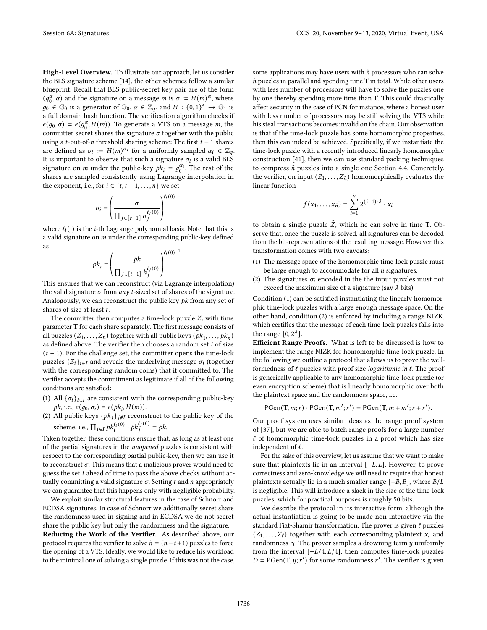High-Level Overview. To illustrate our approach, let us consider the BLS signature scheme [14], the other schemes follow a similar blueprint. Recall that BLS public-secret key pair are of the form  $(g_0^{\alpha}, \alpha)$  and the signature on a message *m* is  $\sigma := H(m)^{\alpha}$ , where  $g_0 \in \mathbb{G}_0$  is a generator of  $\mathbb{G}_0$ ,  $\alpha \in \mathbb{Z}_q$ , and  $H : \{0,1\}^* \to \mathbb{G}_1$  is a full domain hash function. The verification algorithm checks if  $e(g_0, \sigma) = e(g_0^{\alpha}, H(m))$ . To generate a VTS on a message *m*, the committer secret shares the signature  $\sigma$  together with the public using a *t*-out-of-*n* threshold sharing scheme: The first  $t - 1$  shares are defined as  $\sigma_i := H(m)^{\alpha_i}$  for a uniformly sampled  $\alpha_i \in \mathbb{Z}_q$ . It is important to observe that such a signature  $\sigma_i$  is a valid BLS signature on *m* under the public-key  $pk_i = g_0^{\alpha_i}$ . The rest of the shares are sampled consistently using Lagrange interpolation in the exponent, i.e., for  $i \in \{t, t+1, \ldots, n\}$  we set

$$
\sigma_i = \left(\frac{\sigma}{\prod_{j \in [t-1]} \sigma_j^{\ell_j(0)}}\right)^{\ell_i(0)^{-1}}
$$

where  $\ell_i(\cdot)$  is the *i*-th Lagrange polynomial basis. Note that this is a valid signature on  $m$  under the corresponding public-key defined as

.

$$
pk_i = \left(\frac{pk}{\prod_{j\in[t-1]}h_j^{\ell_j(0)}}\right)^{\ell_i(0)^{-1}}
$$

 $\langle \text{ }^{11} \rangle \in \mathbb{R}^{n-1}$   $\langle \text{ }^{11} \rangle$  /  $\langle \text{ }^{11} \rangle$  /  $\langle \text{ }^{11} \rangle$  /  $\langle \text{ }^{11} \rangle$  /  $\langle \text{ }^{11} \rangle$  /  $\langle \text{ }^{11} \rangle$  /  $\langle \text{ }^{11} \rangle$  /  $\langle \text{ }^{11} \rangle$  /  $\langle \text{ }^{11} \rangle$  /  $\langle \text{ }^{11} \rangle$  /  $\langle \text{ }^{11} \rangle$  /  $\langle \text{$ the valid signature  $\sigma$  from any t-sized set of shares of the signature. Analogously, we can reconstruct the public key  $pk$  from any set of shares of size at least  $t$ .

The committer then computes a time-lock puzzle  $Z_i$  with time parameter T for each share separately. The first message consists of all puzzles  $(Z_1, ..., Z_n)$  together with all public keys  $(pk_1, ..., pk_n)$ as defined above. The verifier then chooses a random set  $I$  of size  $(t - 1)$ . For the challenge set, the committer opens the time-lock puzzles  $\{Z_i\}_{i \in I}$  and reveals the underlying message  $\sigma_i$  (together with the corresponding random coins) that it committed to. The verifier accepts the commitment as legitimate if all of the following conditions are satisfied:

- (1) All  $\{\sigma_i\}_{i \in I}$  are consistent with the corresponding public-key  $pk$ , i.e.,  $e(g_0, \sigma_i) = e(pk_i, H(m))$ .
- (2) All public keys  $\{pk_j\}_{j \notin I}$  reconstruct to the public key of the scheme, i.e.,  $\prod_{i \in I} p k_i^{\ell_i(0)} \cdot p k_j^{\ell_j(0)} = p k$ .

Taken together, these conditions ensure that, as long as at least one of the partial signatures in the unopened puzzles is consistent with respect to the corresponding partial public-key, then we can use it to reconstruct  $\sigma$ . This means that a malicious prover would need to guess the set  $I$  ahead of time to pass the above checks without actually committing a valid signature  $\sigma$ . Setting  $t$  and  $n$  appropriately we can guarantee that this happens only with negligible probability.

We exploit similar structural features in the case of Schnorr and ECDSA signatures. In case of Schnorr we additionally secret share the randomness used in signing and in ECDSA we do not secret share the public key but only the randomness and the signature.

Reducing the Work of the Verifier. As described above, our protocol requires the verifier to solve  $\tilde{n} = (n - t + 1)$  puzzles to force the opening of a VTS. Ideally, we would like to reduce his workload to the minimal one of solving a single puzzle. If this was not the case, some applications may have users with  $n$  processors who can solve  $\tilde{n}$  puzzles in parallel and spending time T in total. While other users with less number of processors will have to solve the puzzles one by one thereby spending more time than T. This could drastically affect security in the case of PCN for instance, where a honest user with less number of processors may be still solving the VTS while his steal transactions becomes invalid on the chain. Our observation is that if the time-lock puzzle has some homomorphic properties, then this can indeed be achieved. Specifically, if we instantiate the time-lock puzzle with a recently introduced linearly homomorphic construction [41], then we can use standard packing techniques to compress  $\tilde{n}$  puzzles into a single one Section 4.4. Concretely, the verifier, on input  $(Z_1, \ldots, Z_{\tilde{n}})$  homomorphically evaluates the linear function

$$
f(x_1,\ldots,x_{\tilde{n}})=\sum_{i=1}^{\tilde{n}} 2^{(i-1)\cdot\lambda}\cdot x_i
$$

to obtain a single puzzle  $\tilde{Z}$ , which he can solve in time T. Observe that, once the puzzle is solved, all signatures can be decoded from the bit-representations of the resulting message. However this transformation comes with two caveats:

- (1) The message space of the homomorphic time-lock puzzle must be large enough to accommodate for all  $\tilde{n}$  signatures.
- (2) The signatures  $\sigma_i$  encoded in the the input puzzles must not exceed the maximum size of a signature (say  $\lambda$  bits).

Condition (1) can be satisfied instantiating the linearly homomorphic time-lock puzzles with a large enough message space. On the other hand, condition (2) is enforced by including a range NIZK, which certifies that the message of each time-lock puzzles falls into the range  $[0, 2^{\lambda}]$ .

Efficient Range Proofs. What is left to be discussed is how to implement the range NIZK for homomorphic time-lock puzzle. In the following we outline a protocol that allows us to prove the wellformedness of  $\ell$  puzzles with proof size logarithmic in  $\ell$ . The proof is generically applicable to any homomorphic time-lock puzzle (or even encryption scheme) that is linearly homomorphic over both the plaintext space and the randomness space, i.e.

 $PGen(T, m; r) \cdot PGen(T, m'; r') = PGen(T, m + m'; r + r').$ 

Our proof system uses similar ideas as the range proof system of [37], but we are able to batch range proofs for a large number  $\ell$  of homomorphic time-lock puzzles in a proof which has size independent of  $\ell$ .

For the sake of this overview, let us assume that we want to make sure that plaintexts lie in an interval  $[-L, L]$ . However, to prove correctness and zero-knowledge we will need to require that honest plaintexts actually lie in a much smaller range  $[-B, B]$ , where  $B/L$ is negligible. This will introduce a slack in the size of the time-lock puzzles, which for practical purposes is roughly 50 bits.

We describe the protocol in its interactive form, although the actual instantiation is going to be made non-interactive via the standard Fiat-Shamir transformation. The prover is given  $\ell$  puzzles  $(Z_1, \ldots, Z_\ell)$  together with each corresponding plaintext  $x_i$  and randomness  $r_i$ . The prover samples a drowning term  $y$  uniformly from the interval  $[-L/4, L/4]$ , then computes time-lock puzzles  $D = PGen(T, y; r')$  for some randomness r'. The verifier is given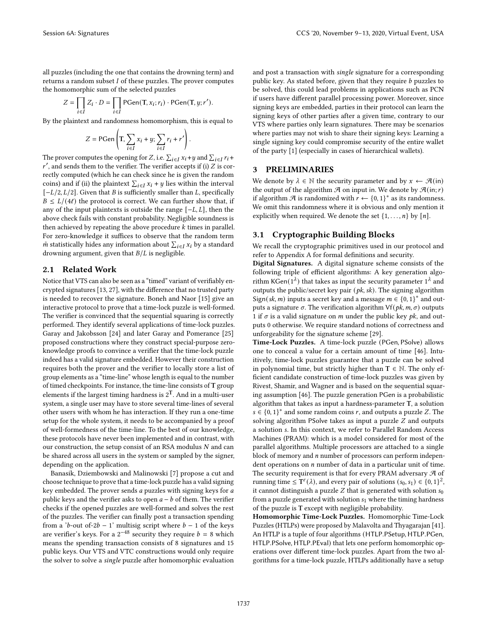all puzzles (including the one that contains the drowning term) and returns a random subset  $I$  of these puzzles. The prover computes the homomorphic sum of the selected puzzles

$$
Z = \prod_{i \in I} Z_i \cdot D = \prod_{i \in I} \text{PGen}(T, x_i; r_i) \cdot \text{PGen}(T, y; r').
$$

By the plaintext and randomness homomorphism, this is equal to

$$
Z = \text{PGen}\left(\text{T}, \sum_{i \in I} x_i + y; \sum_{i \in I} r_i + r'\right).
$$

The prover computes the opening for Z, i.e.  $\sum_{i \in I} x_i + y$  and  $\sum_{i \in I} r_i +$  $r'$ , and sends them to the verifier. The verifier accepts if (i)  $Z$  is correctly computed (which he can check since he is given the random coins) and if (ii) the plaintext  $\sum_{i \in I} x_i + y$  lies within the interval  $[-L/2, L/2]$ . Given that *B* is sufficiently smaller than *L*, specifically  $B \le L/(4\ell)$  the protocol is correct. We can further show that, if any of the input plaintexts is outside the range  $[-L, L]$ , then the above check fails with constant probability. Negligible soundness is then achieved by repeating the above procedure  $k$  times in parallel. For zero-knowledge it suffices to observe that the random term  $\tilde{m}$  statistically hides any information about  $\sum_{i\in I}x_i$  by a standard drowning argument, given that  $B/L$  is negligible.

#### 2.1 Related Work

Notice that VTS can also be seen as a "timed" variant of verifiably encrypted signatures [13, 27], with the difference that no trusted party is needed to recover the signature. Boneh and Naor [15] give an interactive protocol to prove that a time-lock puzzle is well-formed. The verifier is convinced that the sequential squaring is correctly performed. They identify several applications of time-lock puzzles. Garay and Jakobsson [24] and later Garay and Pomerance [25] proposed constructions where they construct special-purpose zeroknowledge proofs to convince a verifier that the time-lock puzzle indeed has a valid signature embedded. However their construction requires both the prover and the verifier to locally store a list of group elements as a "time-line" whose length is equal to the number of timed checkpoints. For instance, the time-line consists of T group elements if the largest timing hardness is  $2<sup>T</sup>$ . And in a multi-user system, a single user may have to store several time-lines of several other users with whom he has interaction. If they run a one-time setup for the whole system, it needs to be accompanied by a proof of well-formedness of the time-line. To the best of our knowledge, these protocols have never been implemented and in contrast, with our construction, the setup consist of an RSA modulus  $N$  and can be shared across all users in the system or sampled by the signer, depending on the application.

Banasik, Dziembowski and Malinowski [7] propose a cut and choose technique to prove that a time-lock puzzle has a valid signing key embedded. The prover sends *a* puzzles with signing keys for *a* public keys and the verifier asks to open  $a - b$  of them. The verifier checks if the opened puzzles are well-formed and solves the rest of the puzzles. The verifier can finally post a transaction spending from a 'b-out of-2b − 1' multisig script where  $b - 1$  of the keys are verifier's keys. For a  $2^{-48}$  security they require  $b = 8$  which means the spending transaction consists of 8 signatures and 15 public keys. Our VTS and VTC constructions would only require the solver to solve a single puzzle after homomorphic evaluation and post a transaction with single signature for a corresponding public key. As stated before, given that they require  $b$  puzzles to be solved, this could lead problems in applications such as PCN if users have different parallel processing power. Moreover, since signing keys are embedded, parties in their protocol can learn the signing keys of other parties after a given time, contrary to our VTS where parties only learn signatures. There may be scenarios where parties may not wish to share their signing keys: Learning a single signing key could compromise security of the entire wallet of the party [1] (especially in cases of hierarchical wallets).

#### 3 PRELIMINARIES

We denote by  $\lambda \in \mathbb{N}$  the security parameter and by  $x \leftarrow \mathcal{A}$ (in) the output of the algorithm  $\mathcal A$  on input in. We denote by  $\mathcal A$ (in; r) if algorithm  $\mathcal A$  is randomized with  $r \leftarrow \{0,1\}^*$  as its randomness. We omit this randomness where it is obvious and only mention it explicitly when required. We denote the set  $\{1, \ldots, n\}$  by  $[n]$ .

#### 3.1 Cryptographic Building Blocks

We recall the cryptographic primitives used in our protocol and refer to Appendix A for formal definitions and security.

Digital Signatures. A digital signature scheme consists of the following triple of efficient algorithms: A key generation algorithm KGen $(1^{\lambda})$  that takes as input the security parameter  $1^{\lambda}$  and outputs the public/secret key pair  $(\mathit{pk}, \mathit{sk})$ . The signing algorithm Sign(sk, m) inputs a secret key and a message  $m \in \{0, 1\}^*$  and outputs a signature  $\sigma$ . The verification algorithm  $Vf(pk, m, \sigma)$  outputs 1 if  $\sigma$  is a valid signature on *m* under the public key *pk*, and outputs 0 otherwise. We require standard notions of correctness and unforgeability for the signature scheme [29].

Time-Lock Puzzles. A time-lock puzzle (PGen, PSolve) allows one to conceal a value for a certain amount of time [46]. Intuitively, time-lock puzzles guarantee that a puzzle can be solved in polynomial time, but strictly higher than  $T \in \mathbb{N}$ . The only efficient candidate construction of time-lock puzzles was given by Rivest, Shamir, and Wagner and is based on the sequential squaring assumption [46]. The puzzle generation PGen is a probabilistic algorithm that takes as input a hardness-parameter T, a solution  $s \in \{0, 1\}^*$  and some random coins r, and outputs a puzzle Z. The solving algorithm PSolve takes as input a puzzle  $Z$  and outputs a solution s. In this context, we refer to Parallel Random Access Machines (PRAM): which is a model considered for most of the parallel algorithms. Multiple processors are attached to a single block of memory and  $n$  number of processors can perform independent operations on  $n$  number of data in a particular unit of time. The security requirement is that for every PRAM adversary  $\mathcal A$  of running time  $\leq T^{\varepsilon}(\lambda)$ , and every pair of solutions  $(s_0, s_1) \in \{0, 1\}^2$ , it cannot distinguish a puzzle  $Z$  that is generated with solution  $s_0$ from a puzzle generated with solution  $s_1$  where the timing hardness of the puzzle is T except with negligible probability.

Homomorphic Time-Lock Puzzles. Homomorphic Time-Lock Puzzles (HTLPs) were proposed by Malavolta and Thyagarajan [41]. An HTLP is a tuple of four algorithms (HTLP.PSetup, HTLP.PGen, HTLP.PSolve, HTLP.PEval) that lets one perform homomorphic operations over different time-lock puzzles. Apart from the two algorithms for a time-lock puzzle, HTLPs additionally have a setup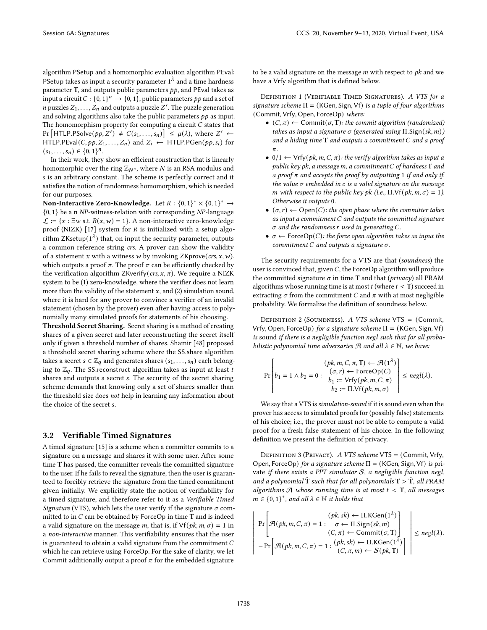algorithm PSetup and a homomorphic evaluation algorithm PEval: PSetup takes as input a security parameter  $1^{\lambda}$  and a time hardness parameter T, and outputs public parameters  $pp$ , and PEval takes as input a circuit  $C: \{0, 1\}^n \rightarrow \{0, 1\}$ , public parameters pp and a set of *n* puzzles  $Z_1, \ldots, Z_n$  and outputs a puzzle  $Z'$ . The puzzle generation and solving algorithms also take the public parameters  $pp$  as input. The homomorphism property for computing a circuit  $C$  states that Pr  $\left[\text{HTLP.PSolve}(pp, Z') \neq C(s_1, ..., s_n)\right] \leq \mu(\lambda)$ , where  $Z' \leftarrow$ HTLP.PEval(C,  $pp, Z_1, ..., Z_n$ ) and  $Z_i \leftarrow$  HTLP.PGen( $pp, s_i$ ) for  $(s_1, \ldots, s_n) \in \{0, 1\}^n$ .

In their work, they show an efficient construction that is linearly homomorphic over the ring  $\mathbb{Z}_{N^s}$ , where N is an RSA modulus and s is an arbitrary constant. The scheme is perfectly correct and it satisfies the notion of randomness homomorphism, which is needed for our purposes.

Non-Interactive Zero-Knowledge. Let  $R: \{0,1\}^* \times \{0,1\}^* \rightarrow$  $\{0, 1\}$  be a n NP-witness-relation with corresponding NP-language  $\mathcal{L}$  := {x : ∃w s.t.  $R(x, w) = 1$ }. A non-interactive zero-knowledge proof (NIZK)  $[17]$  system for  $R$  is initialized with a setup algorithm ZKsetup $(1^{\lambda})$  that, on input the security parameter, outputs a common reference string crs. A prover can show the validity of a statement x with a witness w by invoking ZKprove(crs, x, w), which outputs a proof  $\pi$ . The proof  $\pi$  can be efficiently checked by the verification algorithm ZKverify(crs,  $x$ ,  $\pi$ ). We require a NIZK system to be (1) zero-knowledge, where the verifier does not learn more than the validity of the statement  $x$ , and (2) simulation sound, where it is hard for any prover to convince a verifier of an invalid statement (chosen by the prover) even after having access to polynomially many simulated proofs for statements of his choosing.

Threshold Secret Sharing. Secret sharing is a method of creating shares of a given secret and later reconstructing the secret itself only if given a threshold number of shares. Shamir [48] proposed a threshold secret sharing scheme where the SS.share algorithm takes a secret  $s \in \mathbb{Z}_q$  and generates shares  $(s_1, \ldots, s_n)$  each belonging to  $\mathbb{Z}_q$ . The SS reconstruct algorithm takes as input at least *t* shares and outputs a secret s. The security of the secret sharing scheme demands that knowing only a set of shares smaller than the threshold size does not help in learning any information about the choice of the secret s.

#### 3.2 Verifiable Timed Signatures

A timed signature [15] is a scheme when a committer commits to a signature on a message and shares it with some user. After some time T has passed, the committer reveals the committed signature to the user. If he fails to reveal the signature, then the user is guaranteed to forcibly retrieve the signature from the timed commitment given initially. We explicitly state the notion of verifiability for a timed signature, and therefore refer to it as a Verifiable Timed Signature (VTS), which lets the user verify if the signature  $\sigma$  committed to in  $C$  can be obtained by ForceOp in time  $T$  and is indeed a valid signature on the message m, that is, if  $Vf(pk, m, \sigma) = 1$  in a non-interactive manner. This verifiability ensures that the user is guaranteed to obtain a valid signature from the commitment  $C$ which he can retrieve using ForceOp. For the sake of clarity, we let Commit additionally output a proof  $\pi$  for the embedded signature

to be a valid signature on the message  $m$  with respect to  $pk$  and we have a Vrfy algorithm that is defined below.

DEFINITION 1 (VERIFIABLE TIMED SIGNATURES). A VTS for a signature scheme  $\Pi = (KGen, Sign, Vf)$  is a tuple of four algorithms (Commit, Vrfy, Open, ForceOp) where:

- $(C, \pi) \leftarrow$  Commit $(\sigma, T)$ : the commit algorithm (randomized) takes as input a signature  $\sigma$  (generated using  $\Pi$ . Sign(sk, m)) and a hiding time  $T$  and outputs a commitment  $C$  and a proof  $\pi$ .
- $0/1 \leftarrow Vrfy(pk, m, C, \pi)$ : the verify algorithm takes as input a public key pk, a message m, a commitment  $C$  of hardness  $T$  and a proof  $\pi$  and accepts the proof by outputting 1 if and only if, the value  $\sigma$  embedded in  $c$  is a valid signature on the message m with respect to the public key pk (i.e.,  $\Pi$ . Vf(pk, m,  $\sigma$ ) = 1). Otherwise it outputs 0.
- $(\sigma, r) \leftarrow$  Open(C): the open phase where the committer takes as input a commitment  $C$  and outputs the committed signature  $\sigma$  and the randomness  $r$  used in generating  $C$ .
- $\sigma \leftarrow$  ForceOp(*C*): the force open algorithm takes as input the commitment  $C$  and outputs a signature  $\sigma$ .

The security requirements for a VTS are that (soundness) the user is convinced that, given  $C$ , the ForceOp algorithm will produce the committed signature  $\sigma$  in time T and that (privacy) all PRAM algorithms whose running time is at most  $t$  (where  $t < T$ ) succeed in extracting  $\sigma$  from the commitment C and  $\pi$  with at most negligible probability. We formalize the definition of soundness below.

DEFINITION 2 (SOUNDNESS). A VTS scheme VTS = (Commit, Vrfy, Open, ForceOp) for a signature scheme  $\Pi = (KGen, Sign, Vf)$ is sound if there is a negligible function negl such that for all probabilistic polynomial time adversaries  $\mathcal A$  and all  $\lambda \in \mathbb N$ , we have:

$$
\Pr\left[b_1 = 1 \land b_2 = 0: \begin{array}{c} (pk, m, C, \pi, T) \leftarrow \mathcal{A}(1^{\lambda}) \\ (\sigma, r) \leftarrow \text{ForceOp}(C) \\ b_1 := \text{Vrfy}(pk, m, C, \pi) \\ b_2 := \Pi, \text{Vf}(pk, m, \sigma) \end{array}\right\} \leq negl(\lambda).
$$

We say that a VTS is simulation-sound if it is sound even when the prover has access to simulated proofs for (possibly false) statements of his choice; i.e., the prover must not be able to compute a valid proof for a fresh false statement of his choice. In the following definition we present the definition of privacy.

Definition 3 (Privacy). A VTS scheme VTS = (Commit, Vrfy, Open, ForceOp) for a signature scheme  $\Pi = (KGen, Sign, Vf)$  is private if there exists a PPT simulator  $S$ , a negligible function negl, and a polynomial  $\tilde{\rm T}$  such that for all polynomials  ${\rm T}>\tilde{\rm T}$ , all PRAM algorithms  $A$  whose running time is at most  $t < T$ , all messages  $m \in \{0,1\}^*$ , and all  $\lambda \in \mathbb{N}$  it holds that

$$
\Pr\left[\mathcal{A}(pk, m, C, \pi) = 1: \begin{array}{c} (pk, sk) \leftarrow \Pi.\mathrm{KGen}(1^{\lambda}) \\ \sigma \leftarrow \Pi.\mathrm{Sign}(sk, m) \\ (C, \pi) \leftarrow \mathrm{Commit}(\sigma, \mathbf{T}) \end{array}\right] \right] \le negl(\lambda).
$$
\n
$$
-\Pr\left[\mathcal{A}(pk, m, C, \pi) = 1: \begin{array}{c} (pk, sk) \leftarrow \Pi.\mathrm{KGen}(1^{\lambda}) \\ (C, \pi, m) \leftarrow S(pk, \mathbf{T}) \end{array}\right]\right| \le negl(\lambda).
$$

 $\overline{\phantom{a}}$  $\overline{\phantom{a}}$ I  $\overline{\phantom{a}}$  $\overline{\phantom{a}}$ I  $\overline{\phantom{a}}$  $\overline{\phantom{a}}$ I  $\overline{\phantom{a}}$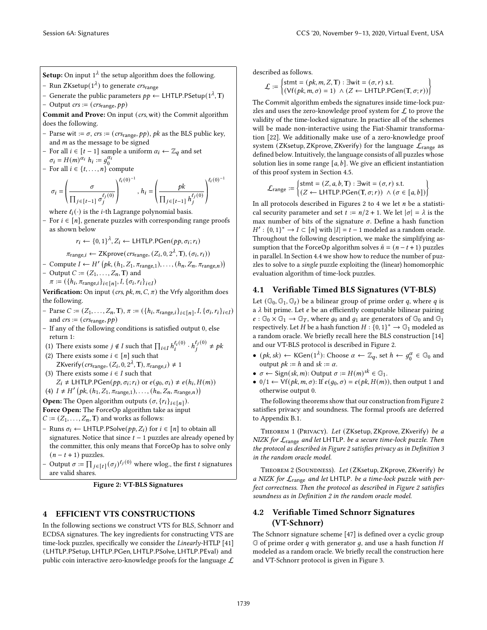**Setup:** On input 1<sup> $\lambda$ </sup> the setup algorithm does the following.

- Run ZKsetup $(1^{\lambda})$  to generate  $crs_{\text{range}}$
- Generate the public parameters  $pp$  ← LHTLP.PSetup(1<sup> $\lambda$ </sup>, T)
- Output  $crs := (crs_{range}, pp)$

Commit and Prove: On input (crs, wit) the Commit algorithm does the following.

- Parse wit :=  $\sigma$ , crs := (crs<sub>range</sub>, pp), pk as the BLS public key, and  $m$  as the message to be signed
- For all *i* ∈ [*t* − 1] sample a uniform  $\alpha_i$  ←  $\mathbb{Z}_q$  and set  $\sigma_i = H(m)^{\alpha_i} h_i := g_0^{\alpha_i}$
- For all  $i \in \{t, \ldots, n\}$  compute

$$
\sigma_i = \left(\frac{\sigma}{\prod_{j \in [t-1]} \sigma_j^{\ell_j(0)}}\right)^{\ell_i(0)^{-1}}, h_i = \left(\frac{pk}{\prod_{j \in [t-1]} h_j^{\ell_j(0)}}\right)^{\ell_i(0)^{-1}}
$$

where  $\ell_i(\cdot)$  is the *i*-th Lagrange polynomial basis.

For  $i \in [n]$ , generate puzzles with corresponding range proofs as shown below

 $r_i \leftarrow \{0, 1\}^{\lambda}, Z_i \leftarrow \textsf{LHTLP.PGen}(pp, \sigma_i; r_i)$ 

$$
\pi_{\text{range},i} \leftarrow \text{ZKprove}(cr_{\text{range}}, (Z_i, 0, 2^{\lambda}, \mathbf{T}), (\sigma_i, r_i))
$$

- Compute  $I \leftarrow H' (pk, (h_1, Z_1, \pi_{range,1}), \ldots, (h_n, Z_n, \pi_{range,n}))$
- Output  $C := (Z_1, \ldots, Z_n, T)$  and
	- $\pi := (\{h_i, \pi_{\text{range},i}\}_{i \in [n]}, I, \{\sigma_i, r_i\}_{i \in I})$

Verification: On input (crs,  $pk, m, C, \pi$ ) the Vrfy algorithm does the following.

- Parse  $C := (Z_1, ..., Z_n, T), \pi := (\{h_i, \pi_{range,i}\}_{i \in [n]}, I, \{\sigma_i, r_i\}_{i \in I})$ and  $\textit{crs} := (\textit{crs}_\text{range}, \textit{pp})$
- If any of the following conditions is satisfied output 0, else return 1:
- (1) There exists some  $j \notin I$  such that  $\prod_{i \in I} h_i^{\ell_i(0)} \cdot h_j^{\ell_j(0)}$  $j^{(0)}$   $\neq$  pk
- (2) There exists some  $i \in [n]$  such that ZKverify( $crs_{range}$ , ( $Z_i$ , 0,  $2^{\lambda}$ , T),  $\pi_{range,i}$ )  $\neq$  1 (3) There exists some  $i \in I$  such that
- $Z_i \neq \text{LHTLP.PGen}(pp, \sigma_i; r_i) \text{ or } e(g_0, \sigma_i) \neq e(h_i, H(m))$
- (4)  $I \neq H'$   $\left( pk, (h_1, Z_1, \pi_{range,1}), \ldots, (h_n, Z_n, \pi_{range,n}) \right)$
- **Open:** The Open algorithm outputs  $(\sigma, \{r_i\}_{i \in [n]})$ .
- Force Open: The ForceOp algorithm take as input
- $C := (Z_1, \ldots, Z_n, T)$  and works as follows:
- Runs  $σ<sub>i</sub>$  ← LHTLP.PSolve( $pp, Z<sub>i</sub>$ ) for  $i ∈ [n]$  to obtain all signatures. Notice that since  $t - 1$  puzzles are already opened by the committer, this only means that ForceOp has to solve only  $(n - t + 1)$  puzzles.
- Output  $\sigma := \prod_{j \in [t]} (\sigma_j)^{\ell_j(0)}$  where wlog., the first t signatures are valid shares.

Figure 2: VT-BLS Signatures

# 4 EFFICIENT VTS CONSTRUCTIONS

In the following sections we construct VTS for BLS, Schnorr and ECDSA signatures. The key ingredients for constructing VTS are time-lock puzzles, specifically we consider the Linearly-HTLP [41] (LHTLP.PSetup, LHTLP.PGen, LHTLP.PSolve, LHTLP.PEval) and public coin interactive zero-knowledge proofs for the language  $\mathcal L$  described as follows.

$$
\mathcal{L} := \begin{cases} \text{stmt} = (pk, m, Z, T) : \exists \text{wit} = (\sigma, r) \text{ s.t.} \\ (\forall f (pk, m, \sigma) = 1) \land (Z \leftarrow \text{LHTLP.PGen}(T, \sigma; r)) \end{cases}
$$

The Commit algorithm embeds the signatures inside time-lock puzzles and uses the zero-knowledge proof system for  $\mathcal L$  to prove the validity of the time-locked signature. In practice all of the schemes will be made non-interactive using the Fiat-Shamir transformation [22]. We additionally make use of a zero-knowledge proof system (ZKsetup, ZKprove, ZKverify) for the language  $\mathcal{L}_{\text{range}}$  as defined below. Intuitively, the language consists of all puzzles whose solution lies in some range  $[a, b]$ . We give an efficient instantiation of this proof system in Section 4.5.

$$
\mathcal{L}_{\text{range}} \coloneqq \begin{cases} \text{stmt} = (Z, a, b, \text{T}) : \exists \text{wit} = (\sigma, r) \text{ s.t.} \\ (Z \leftarrow \text{LHTLP.PGen}(\text{T}, \sigma; r)) \land (\sigma \in [a, b]) \end{cases}
$$

In all protocols described in Figures 2 to 4 we let  $n$  be a statistical security parameter and set  $t := n/2 + 1$ . We let  $|\sigma| = \lambda$  is the max number of bits of the signature  $\sigma$ . Define a hash function  $H' : \{0,1\}^* \to I \subset [n]$  with  $|I| = t - 1$  modeled as a random oracle. Throughout the following description, we make the simplifying assumption that the ForceOp algorithm solves  $\tilde{n} = (n - t + 1)$  puzzles in parallel. In Section 4.4 we show how to reduce the number of puzzles to solve to a single puzzle exploiting the (linear) homomorphic evaluation algorithm of time-lock puzzles.

# 4.1 Verifiable Timed BLS Signatures (VT-BLS)

Let  $(\mathbb{G}_0, \mathbb{G}_1, \mathbb{G}_t)$  be a bilinear group of prime order q, where q is a  $\lambda$  bit prime. Let  $e$  be an efficiently computable bilinear pairing  $e : \mathbb{G}_0 \times \mathbb{G}_1 \to \mathbb{G}_T$ , where  $g_0$  and  $g_1$  are generators of  $\mathbb{G}_0$  and  $\mathbb{G}_1$ respectively. Let H be a hash function  $H: \{0,1\}^* \to \mathbb{G}_1$  modeled as a random oracle. We briefly recall here the BLS construction [14] and our VT-BLS protocol is described in Figure 2.

- $(pk, sk) \leftarrow \text{KGen}(1^{\lambda})$ : Choose  $\alpha \leftarrow \mathbb{Z}_q$ , set  $h \leftarrow g_0^{\alpha} \in \mathbb{G}_0$  and output  $pk := h$  and  $sk := \alpha$ .
- $\sigma \leftarrow$  Sign(sk, m): Output  $\sigma := H(m)^{sk} \in \mathbb{G}_1$ .
- 0/1  $\leftarrow$  Vf( $pk, m, \sigma$ ): If  $e(g_0, \sigma) = e(pk, H(m))$ , then output 1 and otherwise output 0.

The following theorems show that our construction from Figure 2 satisfies privacy and soundness. The formal proofs are deferred to Appendix B.1.

THEOREM 1 (PRIVACY). Let (ZKsetup, ZKprove, ZKverify) be a NIZK for  $\mathcal{L}_{\text{range}}$  and let LHTLP. be a secure time-lock puzzle. Then the protocol as described in Figure 2 satisfies privacy as in Definition 3 in the random oracle model.

THEOREM 2 (SOUNDNESS). Let (ZKsetup, ZKprove, ZKverify) be a NIZK for  $\mathcal{L}_{\text{range}}$  and let LHTLP. be a time-lock puzzle with perfect correctness. Then the protocol as described in Figure 2 satisfies soundness as in Definition 2 in the random oracle model.

# 4.2 Verifiable Timed Schnorr Signatures (VT-Schnorr)

The Schnorr signature scheme [47] is defined over a cyclic group  $G$  of prime order q with generator q, and use a hash function H modeled as a random oracle. We briefly recall the construction here and VT-Schnorr protocol is given in Figure 3.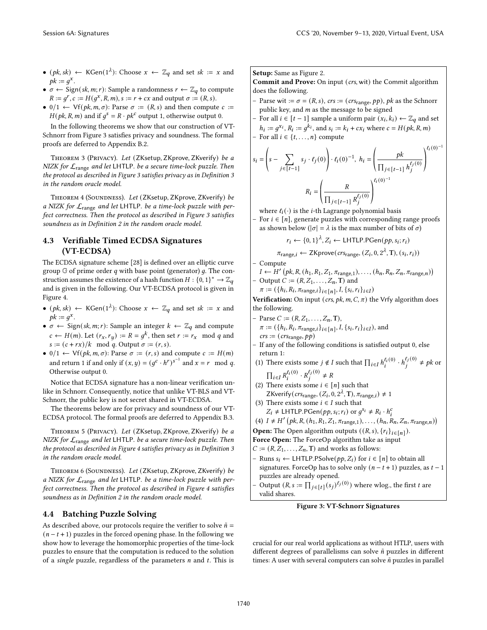- $(pk, sk) \leftarrow \text{KGen}(1^{\lambda})$ : Choose  $x \leftarrow \mathbb{Z}_q$  and set  $sk := x$  and  $pk := g^x$ .
- $\sigma \leftarrow$  Sign(sk, m; r): Sample a randomness  $r \leftarrow \mathbb{Z}_q$  to compute  $R := g^r$ ,  $c := H(g^x, R, m)$ ,  $s := r + cx$  and output  $\sigma := (R, s)$ .
- 0/1  $\leftarrow$  Vf(*pk, m, σ*): Parse  $\sigma := (R, s)$  and then compute  $c :=$  $H(pk, R, m)$  and if  $g<sup>s</sup> = R \cdot pk<sup>c</sup>$  output 1, otherwise output 0.

In the following theorems we show that our construction of VT-Schnorr from Figure 3 satisfies privacy and soundness. The formal proofs are deferred to Appendix B.2.

THEOREM 3 (PRIVACY). Let (ZKsetup, ZKprove, ZKverify) be a NIZK for  $\mathcal{L}_{\text{range}}$  and let LHTLP. be a secure time-lock puzzle. Then the protocol as described in Figure 3 satisfies privacy as in Definition 3 in the random oracle model.

THEOREM 4 (SOUNDNESS). Let (ZKsetup, ZKprove, ZKverify) be a NIZK for  $\mathcal{L}_{\text{range}}$  and let LHTLP. be a time-lock puzzle with perfect correctness. Then the protocol as described in Figure 3 satisfies soundness as in Definition 2 in the random oracle model.

# 4.3 Verifiable Timed ECDSA Signatures (VT-ECDSA)

The ECDSA signature scheme [28] is defined over an elliptic curve group  $G$  of prime order  $q$  with base point (generator)  $q$ . The construction assumes the existence of a hash function  $H: \{0,1\}^* \to \mathbb{Z}_q$ and is given in the following. Our VT-ECDSA protocol is given in Figure 4.

- $(pk, sk) \leftarrow \text{KGen}(1^{\lambda})$ : Choose  $x \leftarrow \mathbb{Z}_q$  and set  $sk := x$  and  $pk := g^x$ .
- $\sigma \leftarrow$  Sign(sk, m; r): Sample an integer  $k \leftarrow \mathbb{Z}_q$  and compute  $c \leftarrow H(m)$ . Let  $(r_x, r_y) := R = g^k$ , then set  $r := r_x \mod q$  and  $s := (c + rx)/k \mod q$ . Output  $\sigma := (r, s)$ .
- 0/1  $\leftarrow$  Vf(*pk*, *m*,  $\sigma$ ): Parse  $\sigma := (r, s)$  and compute  $c := H(m)$ and return 1 if and only if  $(x, y) = (g^c \cdot h^r)^{s^{-1}}$  and  $x = r \mod q$ . Otherwise output 0.

Notice that ECDSA signature has a non-linear verification unlike in Schnorr. Consequently, notice that unlike VT-BLS and VT-Schnorr, the public key is not secret shared in VT-ECDSA.

The theorems below are for privacy and soundness of our VT-ECDSA protocol. The formal proofs are deferred to Appendix B.3.

THEOREM 5 (PRIVACY). Let (ZKsetup, ZKprove, ZKverify) be a NIZK for  $\mathcal{L}_{\text{range}}$  and let LHTLP. be a secure time-lock puzzle. Then the protocol as described in Figure 4 satisfies privacy as in Definition 3 in the random oracle model.

Theorem 6 (Soundness). Let (ZKsetup, ZKprove, ZKverify) be a NIZK for  $\mathcal{L}_{\text{range}}$  and let LHTLP. be a time-lock puzzle with perfect correctness. Then the protocol as described in Figure 4 satisfies soundness as in Definition 2 in the random oracle model.

# 4.4 Batching Puzzle Solving

As described above, our protocols require the verifier to solve  $\tilde{n} =$  $(n - t + 1)$  puzzles in the forced opening phase. In the following we show how to leverage the homomorphic properties of the time-lock puzzles to ensure that the computation is reduced to the solution of a single puzzle, regardless of the parameters  $n$  and  $t$ . This is Setup: Same as Figure 2.

Commit and Prove: On input (crs, wit) the Commit algorithm does the following.

- Parse wit :=  $\sigma$  = (R, s), crs := (crs<sub>range</sub>, pp), pk as the Schnorr public key, and  $m$  as the message to be signed
- For all *i* ∈ [*t* 1] sample a uniform pair  $(x_i, k_i)$  ←  $\mathbb{Z}_q$  and set  $h_i := g^{x_i}, R_i := g^{k_i}$ , and  $s_i := k_i + cx_i$  where  $c = H(pk, R, m)$
- For all  $i \in \{t, \ldots, n\}$  compute

$$
s_i = \left(s - \sum_{j \in [t-1]} s_j \cdot \ell_j(0)\right) \cdot \ell_i(0)^{-1}, \ h_i = \left(\frac{pk}{\prod_{j \in [t-1]} h_j^{\ell_j(0)}}\right)^{\ell_i(0)^{-1}}
$$

$$
R_i = \left(\frac{R}{\prod_{j \in [t-1]} R_j^{\ell_j(0)}}\right)^{\ell_i(0)^{-1}}
$$

where  $\ell_i(\cdot)$  is the *i*-th Lagrange polynomial basis

For  $i \in [n]$ , generate puzzles with corresponding range proofs as shown below ( $|\sigma| = \lambda$  is the max number of bits of  $\sigma$ )

$$
r_i \leftarrow \{0,1\}^{\lambda}, Z_i \leftarrow \text{LHTLP.PGen}(pp, s_i; r_i)
$$

 $\pi_{\text{range}, i}$  ← ZKprove( $\textit{crs}_\text{range}, \textit{(Z}_i, 0, 2^{\lambda}, \text{T}), \textit{(s}_i, r_i))$ 

- Compute  $I \leftarrow H' (pk, R, (h_1, R_1, Z_1, \pi_{range,1}), \ldots, (h_n, R_n, Z_n, \pi_{range,n}))$
- Output  $C := (R, Z_1, \ldots, Z_n, T)$  and
- $\pi := (\{h_i, R_i, \pi_{\text{range},i}\}_{i \in [n]}, I, \{s_i, r_i\}_{i \in I})$

Verification: On input (crs,  $pk, m, C, \pi$ ) the Vrfy algorithm does the following.

- Parse  $C := (R, Z_1, \ldots, Z_n, T),$  $\pi := (\{h_i, R_i, \pi_{\text{range},i}\}_{i \in [n]}, I, \{s_i, r_i\}_{i \in I}),$  and  $\mathit{crs} := (\mathit{crs}_\mathit{range}, \mathit{pp})$
- If any of the following conditions is satisfied output 0, else return 1:
- (1) There exists some  $j \notin I$  such that  $\prod_{i \in I} h_i^{\ell_i(0)} \cdot h_j^{\ell_j(0)}$  $j^{(i)} \neq pk$  or  $\prod_{i \in I} R_i^{\ell_i(0)} \cdot R_j^{\ell_j(0)}$  $j^{(0)} \neq R$
- (2) There exists some  $i \in [n]$  such that ZKverify( $crs_{range}$ ,  $(Z_i, 0, 2^{\lambda}, T)$ ,  $\pi_{range, i}$ )  $\neq 1$
- (3) There exists some  $i \in I$  such that  $Z_i \neq \text{LHTLP.PGen}(pp, s_i; r_i) \text{ or } g^{s_i} \neq R_i \cdot h_i^c$
- (4)  $I \neq H'$   $(pk, R, (h_1, R_1, Z_1, \pi_{range,1}), ..., (h_n, R_n, Z_n, \pi_{range,n})$

**Open:** The Open algorithm outputs  $((R, s), \{r_i\}_{i \in [n]})$ .

- Force Open: The ForceOp algorithm take as input
- $C := (R, Z_1, \ldots, Z_n, T)$  and works as follows:
- Runs  $s_i$  ← LHTLP.PSolve( $pp, Z_i$ ) for  $i \in [n]$  to obtain all signatures. ForceOp has to solve only  $(n - t + 1)$  puzzles, as  $t - 1$ puzzles are already opened.
- Output  $(R, s := \prod_{j \in [t]} (s_j)^{\ell_j(0)})$  where wlog., the first t are valid shares.

#### Figure 3: VT-Schnorr Signatures

crucial for our real world applications as without HTLP, users with different degrees of parallelisms can solve  $n$  puzzles in different times: A user with several computers can solve  $n$  puzzles in parallel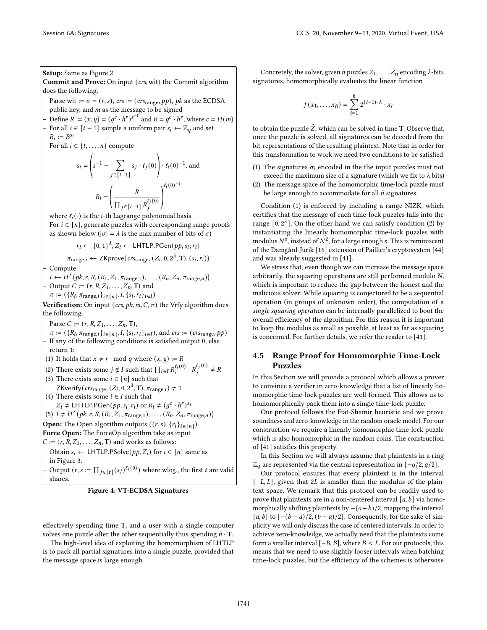## Setup: Same as Figure 2.

Commit and Prove: On input (crs, wit) the Commit algorithm does the following.

- Parse wit :=  $\sigma$  = (r, s), crs := (crs<sub>range</sub>, pp), pk as the ECDSA public key, and  $m$  as the message to be signed
- Define  $R := (x, y) = (g^c \cdot h^r)^{s^{-1}}$  and  $B = g^c \cdot h^r$ , where  $c = H(m)$
- For all *i* ∈ [*t* 1] sample a uniform pair  $s_i$  ←  $\mathbb{Z}_q$  and set  $R_i := B^{s_i}$
- − For all  $i \in \{t, ..., n\}$  compute

$$
s_i = \left(s^{-1} - \sum_{j \in [t-1]} s_j \cdot \ell_j(0)\right) \cdot \ell_i(0)^{-1}, \text{ and}
$$

$$
R_i = \left(\frac{R}{\prod_{j \in [t-1]} R_j^{\ell_j(0)}}\right)^{\ell_i(0)^{-1}}
$$

where  $\ell_i(\cdot)$  is the *i*-th Lagrange polynomial basis

For  $i \in [n]$ , generate puzzles with corresponding range proofs as shown below ( $|\sigma| = \lambda$  is the max number of bits of  $\sigma$ )

 $r_i \leftarrow \{0, 1\}^{\lambda}, Z_i \leftarrow \textsf{LHTLP.PGen}(pp, s_i; r_i)$ 

 $\pi_{\text{range},i}$  ← ZKprove( $\text{crs}_\text{range}, (Z_i, 0, 2^{\lambda}, T), (s_i, r_i)$ )

Compute

- $I \leftarrow H' (pk, r, R, (R_1, Z_1, \pi_{range,1}), \ldots, (R_n, Z_n, \pi_{range,n}))$ Output  $C := (r, R, Z_1, \ldots, Z_n, T)$  and
	- $\pi := (\{R_i, \pi_{\text{range},i}\}_{i \in [n]}, I, \{s_i, r_i\}_{i \in I})$

Verification: On input (crs,  $pk, m, C, \pi$ ) the Vrfy algorithm does the following.

- Parse  $C := (r, R, Z_1, \ldots, Z_n, T),$  $\pi := (\{R_i, \pi_{\text{range},i}\}_{i \in [n]}, I, \{s_i, r_i\}_{i \in I}),$  and  $crs := (crs_{\text{range}}, pp)$ - If any of the following conditions is satisfied output 0, else return 1:
- (1) It holds that  $x \neq r \mod q$  where  $(x, y) := R$

(2) There exists some 
$$
j \notin I
$$
 such that  $\prod_{i \in I} R_i^{\ell_i(0)} \cdot R_j^{\ell_j(0)} \neq R$ 

- (3) There exists some  $i \in [n]$  such that ZKverify( $crs_{range}$ , ( $Z_i$ , 0,  $2^{\lambda}$ , T),  $\pi_{range,i}$ )  $\neq$  1
- (4) There exists some  $i \in I$  such that  $Z_i \neq \text{LHTLP.PGen}(pp, s_i; r_i) \text{ or } R_i \neq (g^c \cdot h^r)^{s_i}$

(5) 
$$
I \neq H'
$$
 (pk, r, R,  $(R_1, Z_1, \pi_{range,1}), \ldots, (R_n, Z_n, \pi_{range,n})$ )

**Open:** The Open algorithm outputs  $((r, s), \{r_i\}_{i \in [n]})$ . Force Open: The ForceOp algorithm take as input

- $C := (r, R, Z_1, \ldots, Z_n, T)$  and works as follows:
- Obtain  $s_i$  ← LHTLP.PSolve( $pp, Z_i$ ) for  $i \in [n]$  same as in Figure 3.
- Output  $(r, s := \prod_{j \in [t]} (s_j)^{\ell_j(0)})$  where wlog., the first  $t$  are valid shares.

Figure 4: VT-ECDSA Signatures

effectively spending time T, and a user with a single computer solves one puzzle after the other sequentially thus spending  $\tilde{n} \cdot T$ .

The high-level idea of exploiting the homomorphism of LHTLP is to pack all partial signatures into a single puzzle, provided that the message space is large enough.

Concretely, the solver, given  $\tilde{n}$  puzzles  $Z_1, \ldots, Z_{\tilde{n}}$  encoding  $\lambda$ -bits signatures, homomorphically evaluates the linear function

$$
f(x_1,\ldots,x_{\tilde{n}})=\sum_{i=1}^{\tilde{n}} 2^{(i-1)\cdot\lambda}\cdot x_i
$$

to obtain the puzzle  $\tilde{Z}$ , which can be solved in time T. Observe that, once the puzzle is solved, all signatures can be decoded from the bit-representations of the resulting plaintext. Note that in order for this transformation to work we need two conditions to be satisfied:

- (1) The signatures  $\sigma_i$  encoded in the the input puzzles must not exceed the maximum size of a signature (which we fix to  $\lambda$  bits)
- (2) The message space of the homomorphic time-lock puzzle must be large enough to accommodate for all  $\tilde{n}$  signatures.

Condition (1) is enforced by including a range NIZK, which certifies that the message of each time-lock puzzles falls into the range  $[0, 2<sup>\lambda</sup>]$ . On the other hand we can satisfy condition (2) by instantiating the linearly homomorphic time-lock puzzles with modulus  $N^s$  , instead of  $N^2$ , for a large enough  $s.$  This is reminiscent of the Damgård-Jurik [16] extension of Paillier's cryptosystem [44] and was already suggested in [41].

We stress that, even though we can increase the message space arbitrarily, the squaring operations are still performed modulo  $N$ , which is important to reduce the gap between the honest and the malicious solver: While squaring is conjectured to be a sequential operation (in groups of unknown order), the computation of a single squaring operation can be internally parallelized to boot the overall efficiency of the algorithm. For this reason it is important to keep the modulus as small as possible, at least as far as squaring is concerned. For further details, we refer the reader to [41].

## 4.5 Range Proof for Homomorphic Time-Lock Puzzles

In this Section we will provide a protocol which allows a prover to convince a verifier in zero-knowledge that a list of linearly homomorphic time-lock puzzles are well-formed. This allows us to homomorphically pack them into a single time-lock puzzle.

Our protocol follows the Fiat-Shamir heuristic and we prove soundness and zero-knowledge in the random oracle model. For our construction we require a linearly homomorphic time-lock puzzle which is also homomorphic in the random coins. The construction of [41] satisfies this property.

In this Section we will always assume that plaintexts in a ring  $\mathbb{Z}_q$  are represented via the central representation in  $[-q/2, q/2]$ .

Our protocol ensures that every plaintext is in the interval  $[-L, L]$ , given that 2L is smaller than the modulus of the plaintext space. We remark that this protocol can be readily used to prove that plaintexts are in a non-centered interval  $[a, b]$  via homomorphically shifting plaintexts by  $-(a+b)/2$ , mapping the interval [ $a, b$ ] to  $[-(b - a)/2, (b - a)/2]$ . Consequently, for the sake of simplicity we will only discuss the case of centered intervals. In order to achieve zero-knowledge, we actually need that the plaintexts come form a smaller interval  $[-B, B]$ , where  $B < L$ . For our protocols, this means that we need to use slightly looser intervals when batching time-lock puzzles, but the efficiency of the schemes is otherwise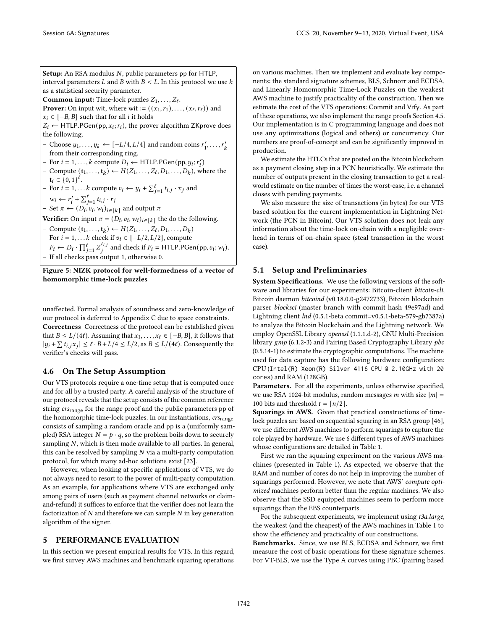Setup: An RSA modulus  $N$ , public parameters pp for HTLP, interval parameters  $L$  and  $B$  with  $B < L$ . In this protocol we use  $k$ as a statistical security parameter. **Common input:** Time-lock puzzles  $Z_1, \ldots, Z_\ell$ .

**Prover:** On input wit, where wit  $:=(x_1, r_1), \ldots, (x_\ell, r_\ell))$  and

 $x_i \in [-B, B]$  such that for all *i* it holds

 $Z_i \leftarrow$  HTLP.PGen(pp,  $x_i; r_i$ ), the prover algorithm ZKprove does the following.

- Choose  $y_1, ..., y_k$  ← [-L/4, L/4] and random coins  $r'_1, ..., r'_k$ from their corresponding ring.
- For  $i = 1, ..., k$  compute  $D_i \leftarrow \text{HTLP.PGen}(pp, y_i; r'_i)$
- Compute  $(\mathbf{t}_1, \ldots, \mathbf{t}_k) \leftarrow H(Z_1, \ldots, Z_\ell, D_1, \ldots, D_k)$ , where the  $t_i \in \{0,1\}^{\ell}$ .
- For  $i = 1, \ldots k$  compute  $v_i \leftarrow y_i + \sum_{j=1}^{\ell} t_{i,j} \cdot x_j$  and  $w_i \leftarrow r'_i + \sum_{j=1}^{\ell} t_{i,j} \cdot r_j$

− Set  $\pi$  ←  $(D_i, v_i, w_i)_{i \in [k]}$  and output  $\pi$ 

**Verifier:** On input  $\pi = (D_i, v_i, w_i)_{i \in [k]}$  the do the following.

- Compute  $(t_1, ..., t_k)$  ←  $H(Z_1, ..., Z_\ell, D_1, ..., D_k)$ 

- For *i* = 1, . . . *k* check if  $v_i$  ∈ [- $L/2$ ,  $L/2$ ], compute

 $F_i \leftarrow D_i \cdot \prod_{j=1}^{\ell} Z_j^{t_{i,j}}$  $a_{i,j}^{i,j}$  and check if  $F_i = \text{HTLP.PGen}(pp, v_i; w_i)$ . - If all checks pass output 1, otherwise 0.

Figure 5: NIZK protocol for well-formedness of a vector of homomorphic time-lock puzzles

unaffected. Formal analysis of soundness and zero-knowledge of our protocol is deferred to Appendix C due to space constraints. Correctness Correctness of the protocol can be established given that  $B \le L/(4\ell)$ . Assuming that  $x_1, \ldots, x_\ell \in [-B, B]$ , it follows that  $|y_i + \sum t_{i,j}x_j| \leq \ell \cdot B + L/4 \leq L/2$ , as  $B \leq L/(4\ell)$ . Consequently the verifier's checks will pass.

# 4.6 On The Setup Assumption

Our VTS protocols require a one-time setup that is computed once and for all by a trusted party. A careful analysis of the structure of our protocol reveals that the setup consists of the common reference string crs<sub>range</sub> for the range proof and the public parameters pp of the homomorphic time-lock puzzles. In our instantiations,  $crs_{range}$ consists of sampling a random oracle and pp is a (uniformly sampled) RSA integer  $N = p \cdot q$ , so the problem boils down to securely sampling  $N$ , which is then made available to all parties. In general, this can be resolved by sampling  $N$  via a multi-party computation protocol, for which many ad-hoc solutions exist [23].

However, when looking at specific applications of VTS, we do not always need to resort to the power of multi-party computation. As an example, for applications where VTS are exchanged only among pairs of users (such as payment channel networks or claimand-refund) it suffices to enforce that the verifier does not learn the factorization of  $N$  and therefore we can sample  $N$  in key generation algorithm of the signer.

# 5 PERFORMANCE EVALUATION

In this section we present empirical results for VTS. In this regard, we first survey AWS machines and benchmark squaring operations on various machines. Then we implement and evaluate key components: the standard signature schemes, BLS, Schnorr and ECDSA, and Linearly Homomorphic Time-Lock Puzzles on the weakest AWS machine to justify practicality of the construction. Then we estimate the cost of the VTS operations: Commit and Vrfy. As part of these operations, we also implement the range proofs Section 4.5. Our implementation is in C programming language and does not use any optimizations (logical and others) or concurrency. Our numbers are proof-of-concept and can be significantly improved in production.

We estimate the HTLCs that are posted on the Bitcoin blockchain as a payment closing step in a PCN heuristically. We estimate the number of outputs present in the closing transaction to get a realworld estimate on the number of times the worst-case, i.e. a channel closes with pending payments.

We also measure the size of transactions (in bytes) for our VTS based solution for the current implementation in Lightning Network (the PCN in Bitcoin). Our VTS solution does not leak any information about the time-lock on-chain with a negligible overhead in terms of on-chain space (steal transaction in the worst case).

## 5.1 Setup and Preliminaries

System Specifications. We use the following versions of the software and libraries for our experiments: Bitcoin-client bitcoin-cli, Bitcoin daemon bitcoind (v0.18.0.0-g2472733), Bitcoin blockchain parser blocksci (master branch with commit hash 49e97ad) and Lightning client lnd (0.5.1-beta commit=v0.5.1-beta-579-gb7387a) to analyze the Bitcoin blockchain and the Lightning network. We employ OpenSSL Library openssl (1.1.1.d-2), GNU Multi-Precision library gmp (6.1.2-3) and Pairing Based Cryptography Library pbc (0.5.14-1) to estimate the cryptographic computations. The machine used for data capture has the following hardware configuration: CPU (Intel(R) Xeon(R) Silver 4116 CPU @ 2.10GHz with 20 cores) and RAM (128GB).

Parameters. For all the experiments, unless otherwise specified, we use RSA 1024-bit modulus, random messages *m* with size  $|m| =$ 100 bits and threshold  $t = \lfloor n/2 \rfloor$ .

Squarings in AWS. Given that practical constructions of timelock puzzles are based on sequential squaring in an RSA group [46], we use different AWS machines to perform squarings to capture the role played by hardware. We use 6 different types of AWS machines whose configurations are detailed in Table 1.

First we ran the squaring experiment on the various AWS machines (presented in Table 1). As expected, we observe that the RAM and number of cores do not help in improving the number of squarings performed. However, we note that AWS' compute optimized machines perform better than the regular machines. We also observe that the SSD equipped machines seem to perform more squarings than the EBS counterparts.

For the subsequent experiments, we implement using t3a.large, the weakest (and the cheapest) of the AWS machines in Table 1 to show the efficiency and practicality of our constructions.

Benchmarks. Since, we use BLS, ECDSA and Schnorr, we first measure the cost of basic operations for these signature schemes. For VT-BLS, we use the Type A curves using PBC (pairing based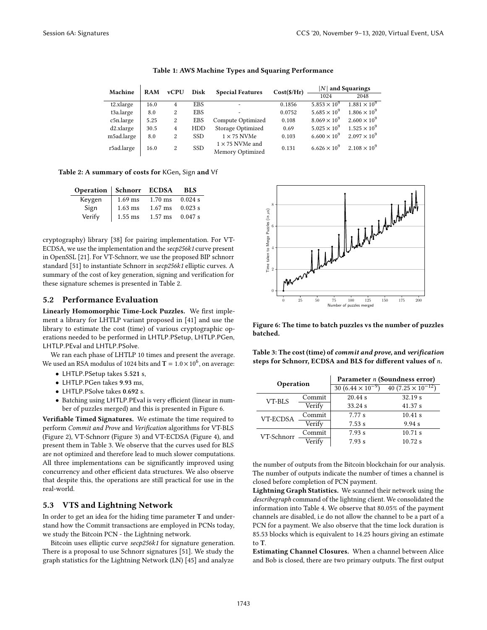| Machine    | <b>RAM</b> | <b>vCPU</b> | Disk       | <b>Special Features</b>                    | Cost(S/Hr) | $ N $ and Squarings   |                       |
|------------|------------|-------------|------------|--------------------------------------------|------------|-----------------------|-----------------------|
|            |            |             |            |                                            |            | 1024                  | 2048                  |
| t2.xlarge  | 16.0       | 4           | <b>EBS</b> | $\overline{\phantom{a}}$                   | 0.1856     | $5.853 \times 10^{9}$ | $1.881 \times 10^{9}$ |
| t3a.large  | 8.0        | 2           | <b>EBS</b> | $\overline{\phantom{0}}$                   | 0.0752     | $5.685 \times 10^{9}$ | $1.806 \times 10^{9}$ |
| c5n.large  | 5.25       | 2           | <b>EBS</b> | Compute Optimized                          | 0.108      | $8.069 \times 10^{9}$ | $2.600 \times 10^{9}$ |
| d2.xlarge  | 30.5       | 4           | HDD        | Storage Optimized                          | 0.69       | $5.025 \times 10^{9}$ | $1.525 \times 10^{9}$ |
| m5ad.large | 8.0        | 2           | <b>SSD</b> | $1 \times 75$ NVMe                         | 0.103      | $6.600 \times 10^{9}$ | $2.097 \times 10^{9}$ |
| r5ad.large | 16.0       | 2           | <b>SSD</b> | $1 \times 75$ NVMe and<br>Memory Optimized | 0.131      | $6.626 \times 10^{9}$ | $2.108 \times 10^{9}$ |

#### Table 1: AWS Machine Types and Squaring Performance

Table 2: A summary of costs for KGen, Sign and Vf

| Operation   Schnorr ECDSA |           |                   | BLS       |
|---------------------------|-----------|-------------------|-----------|
| Keygen                    | $1.69$ ms | $1.70 \text{ ms}$ | $0.024$ s |
| Sign                      | $1.63$ ms | $1.67 \text{ ms}$ | 0.023 s   |
| Verify                    | $1.55$ ms | $1.57$ ms         | 0.047 s   |

cryptography) library [38] for pairing implementation. For VT-ECDSA, we use the implementation and the secp256k1 curve present in OpenSSL [21]. For VT-Schnorr, we use the proposed BIP schnorr standard [51] to instantiate Schnorr in secp256k1 elliptic curves. A summary of the cost of key generation, signing and verification for these signature schemes is presented in Table 2.

#### 5.2 Performance Evaluation

Linearly Homomorphic Time-Lock Puzzles. We first implement a library for LHTLP variant proposed in [41] and use the library to estimate the cost (time) of various cryptographic operations needed to be performed in LHTLP.PSetup, LHTLP.PGen, LHTLP.PEval and LHTLP.PSolve.

We ran each phase of LHTLP 10 times and present the average. We used an RSA modulus of 1024 bits and  $T = 1.0 \times 10^6$ , on average:

- LHTLP.PSetup takes 5.521 s,
- LHTLP.PGen takes 9.93 ms,
- LHTLP.PSolve takes 0.692 s.
- Batching using LHTLP.PEval is very efficient (linear in number of puzzles merged) and this is presented in Figure 6.

Verifiable Timed Signatures. We estimate the time required to perform Commit and Prove and Verification algorithms for VT-BLS (Figure 2), VT-Schnorr (Figure 3) and VT-ECDSA (Figure 4), and present them in Table 3. We observe that the curves used for BLS are not optimized and therefore lead to much slower computations. All three implementations can be significantly improved using concurrency and other efficient data structures. We also observe that despite this, the operations are still practical for use in the real-world.

#### 5.3 VTS and Lightning Network

In order to get an idea for the hiding time parameter T and understand how the Commit transactions are employed in PCNs today, we study the Bitcoin PCN - the Lightning network.

Bitcoin uses elliptic curve secp256k1 for signature generation. There is a proposal to use Schnorr signatures [51]. We study the graph statistics for the Lightning Network (LN) [45] and analyze



Figure 6: The time to batch puzzles vs the number of puzzles batched.

Table 3: The cost (time) of commit and prove, and verification steps for Schnorr, ECDSA and BLS for different values of n.

| Operation  |        | Parameter <i>n</i> (Soundness error) |                             |  |  |
|------------|--------|--------------------------------------|-----------------------------|--|--|
|            |        | 30 $(6.44 \times 10^{-9})$           | 40 $(7.25 \times 10^{-12})$ |  |  |
| VT-BLS     | Commit | 20.44 s                              | 32.19 s                     |  |  |
|            | Verify | 33.24 s                              | 41.37 s                     |  |  |
| VT-ECDSA   | Commit | 7.77 s                               | 10.41 s                     |  |  |
|            | Verify | 7.53 s                               | 9.94 s                      |  |  |
| VT-Schnorr | Commit | 7.93 s                               | 10.71 s                     |  |  |
|            | Verify | 7.93 s                               | 10.72 s                     |  |  |

the number of outputs from the Bitcoin blockchain for our analysis. The number of outputs indicate the number of times a channel is closed before completion of PCN payment.

Lightning Graph Statistics. We scanned their network using the describegraph command of the lightning client. We consolidated the information into Table 4. We observe that 80.05% of the payment channels are disabled, i.e do not allow the channel to be a part of a PCN for a payment. We also observe that the time lock duration is 85.53 blocks which is equivalent to 14.25 hours giving an estimate to T.

Estimating Channel Closures. When a channel between Alice and Bob is closed, there are two primary outputs. The first output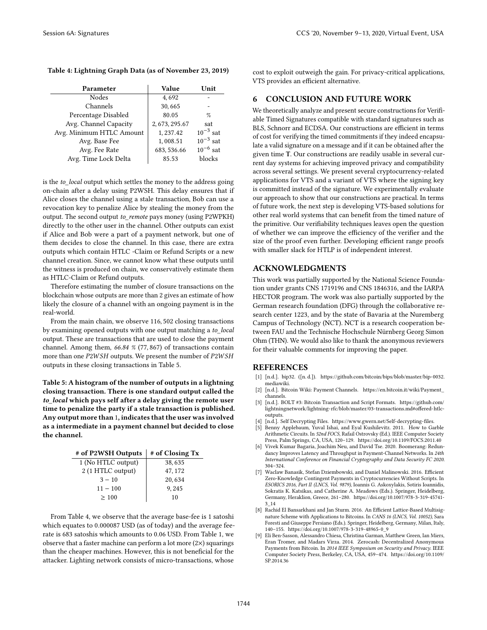#### Table 4: Lightning Graph Data (as of November 23, 2019)

| Parameter                | <b>Value</b>   | Unit          |
|--------------------------|----------------|---------------|
| Nodes                    | 4,692          |               |
| Channels                 | 30,665         |               |
| Percentage Disabled      | 80.05          | $\%$          |
| Avg. Channel Capacity    | 2, 673, 295.67 | sat           |
| Avg. Minimum HTLC Amount | 1, 237.42      | $10^{-3}$ sat |
| Avg. Base Fee            | 1,008.51       | $10^{-3}$ sat |
| Avg. Fee Rate            | 683, 536.66    | $10^{-6}$ sat |
| Avg. Time Lock Delta     | 85.53          | blocks        |

is the to\_local output which settles the money to the address going on-chain after a delay using P2WSH. This delay ensures that if Alice closes the channel using a stale transaction, Bob can use a revocation key to penalize Alice by stealing the money from the output. The second output to\_remote pays money (using P2WPKH) directly to the other user in the channel. Other outputs can exist if Alice and Bob were a part of a payment network, but one of them decides to close the channel. In this case, there are extra outputs which contain HTLC -Claim or Refund Scripts or a new channel creation. Since, we cannot know what these outputs until the witness is produced on chain, we conservatively estimate them as HTLC-Claim or Refund outputs.

Therefore estimating the number of closure transactions on the blockchain whose outputs are more than 2 gives an estimate of how likely the closure of a channel with an ongoing payment is in the real-world.

From the main chain, we observe 116, 502 closing transactions by examining opened outputs with one output matching a to local output. These are transactions that are used to close the payment channel. Among them, 66.84 % (77, 867) of transactions contain more than one  $P2WSH$  outputs. We present the number of  $P2WSH$ outputs in these closing transactions in Table 5.

Table 5: A histogram of the number of outputs in a lightning closing transaction. There is one standard output called the to\_local which pays self after a delay giving the remote user time to penalize the party if a stale transaction is published. Any output more than 1, indicates that the user was involved as a intermediate in a payment channel but decided to close the channel.

| # of P2WSH Outputs | # of Closing Tx |
|--------------------|-----------------|
| 1 (No HTLC output) | 38, 635         |
| 2 (1 HTLC output)  | 47, 172         |
| $3 - 10$           | 20,634          |
| $11 - 100$         | 9,245           |
| >100               | 10              |

From Table 4, we observe that the average base-fee is 1 satoshi which equates to 0.000087 USD (as of today) and the average feerate is 683 satoshis which amounts to 0.06 USD. From Table 1, we observe that a faster machine can perform a lot more (2×) squarings than the cheaper machines. However, this is not beneficial for the attacker. Lighting network consists of micro-transactions, whose

cost to exploit outweigh the gain. For privacy-critical applications, VTS provides an efficient alternative.

## 6 CONCLUSION AND FUTURE WORK

We theoretically analyze and present secure constructions for Verifiable Timed Signatures compatible with standard signatures such as BLS, Schnorr and ECDSA. Our constructions are efficient in terms of cost for verifying the timed commitments if they indeed encapsulate a valid signature on a message and if it can be obtained after the given time T. Our constructions are readily usable in several current day systems for achieving improved privacy and compatibility across several settings. We present several cryptocurrency-related applications for VTS and a variant of VTS where the signing key is committed instead of the signature. We experimentally evaluate our approach to show that our constructions are practical. In terms of future work, the next step is developing VTS-based solutions for other real world systems that can benefit from the timed nature of the primitive. Our verifiability techniques leaves open the question of whether we can improve the efficiency of the verifier and the size of the proof even further. Developing efficient range proofs with smaller slack for HTLP is of independent interest.

#### ACKNOWLEDGMENTS

This work was partially supported by the National Science Foundation under grants CNS 1719196 and CNS 1846316, and the IARPA HECTOR program. The work was also partially supported by the German research foundation (DFG) through the collaborative research center 1223, and by the state of Bavaria at the Nuremberg Campus of Technology (NCT). NCT is a research cooperation between FAU and the Technische Hochschule Nürnberg Georg Simon Ohm (THN). We would also like to thank the anonymous reviewers for their valuable comments for improving the paper.

## REFERENCES

- [1] [n.d.]. bip32. ([n. d.]). https://github.com/bitcoin/bips/blob/master/bip-0032. mediawiki.
- [2] [n.d.]. Bitcoin Wiki: Payment Channels. https://en.bitcoin.it/wiki/Payment\_ channels.
- [3] [n.d.]. BOLT #3: Bitcoin Transaction and Script Formats. https://github.com/ lightningnetwork/lightning-rfc/blob/master/03-transactions.md#offered-htlcoutputs.
- [4] [n.d.]. Self Decrypting Files. https://www.gwern.net/Self-decrypting-files.
- [5] Benny Applebaum, Yuval Ishai, and Eyal Kushilevitz. 2011. How to Garble Arithmetic Circuits. In 52nd FOCS, Rafail Ostrovsky (Ed.). IEEE Computer Society Press, Palm Springs, CA, USA, 120-129. https://doi.org/10.1109/FOCS.2011.40
- [6] Vivek Kumar Bagaria, Joachim Neu, and David Tse. 2020. Boomerang: Redundancy Improves Latency and Throughput in Payment-Channel Networks. In 24th International Conference on Financial Cryptography and Data Security FC 2020. 304-324.
- [7] Waclaw Banasik, Stefan Dziembowski, and Daniel Malinowski. 2016. Efficient Zero-Knowledge Contingent Payments in Cryptocurrencies Without Scripts. In ESORICS 2016, Part II (LNCS, Vol. 9879), Ioannis G. Askoxylakis, Sotiris Ioannidis, Sokratis K. Katsikas, and Catherine A. Meadows (Eds.). Springer, Heidelberg, Germany, Heraklion, Greece, 261-280. https://doi.org/10.1007/978-3-319-45741-3\_14
- [8] Rachid El Bansarkhani and Jan Sturm. 2016. An Efficient Lattice-Based Multisignature Scheme with Applications to Bitcoins. In CANS 16 (LNCS, Vol. 10052), Sara Foresti and Giuseppe Persiano (Eds.). Springer, Heidelberg, Germany, Milan, Italy, 140-155. https://doi.org/10.1007/978-3-319-48965-0\_9
- [9] Eli Ben-Sasson, Alessandro Chiesa, Christina Garman, Matthew Green, Ian Miers, Eran Tromer, and Madars Virza. 2014. Zerocash: Decentralized Anonymous Payments from Bitcoin. In 2014 IEEE Symposium on Security and Privacy. IEEE Computer Society Press, Berkeley, CA, USA, 459-474. https://doi.org/10.1109/ SP.2014.36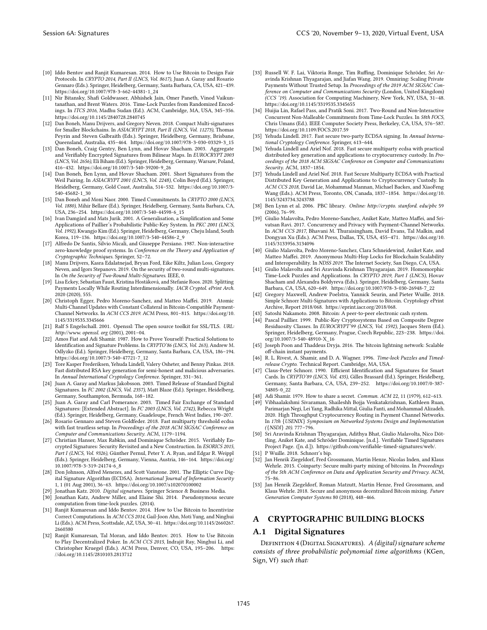- [10] Iddo Bentov and Ranjit Kumaresan. 2014. How to Use Bitcoin to Design Fair Protocols. In CRYPTO 2014, Part II (LNCS, Vol. 8617), Juan A. Garay and Rosario Gennaro (Eds.). Springer, Heidelberg, Germany, Santa Barbara, CA, USA, 421-439. https://doi.org/10.1007/978-3-662-44381-1\_24
- [11] Nir Bitansky, Shafi Goldwasser, Abhishek Jain, Omer Paneth, Vinod Vaikuntanathan, and Brent Waters. 2016. Time-Lock Puzzles from Randomized Encodings. In ITCS 2016, Madhu Sudan (Ed.). ACM, Cambridge, MA, USA, 345-356. https://doi.org/10.1145/2840728.2840745
- [12] Dan Boneh, Manu Drijvers, and Gregory Neven. 2018. Compact Multi-signatures for Smaller Blockchains. In ASIACRYPT 2018, Part II (LNCS, Vol. 11273), Thomas Peyrin and Steven Galbraith (Eds.). Springer, Heidelberg, Germany, Brisbane, Queensland, Australia, 435-464. https://doi.org/10.1007/978-3-030-03329-3\_15
- [13] Dan Boneh, Craig Gentry, Ben Lynn, and Hovav Shacham. 2003. Aggregate and Verifiably Encrypted Signatures from Bilinear Maps. In EUROCRYPT 2003 (LNCS, Vol. 2656), Eli Biham (Ed.). Springer, Heidelberg, Germany, Warsaw, Poland, 416ś432. https://doi.org/10.1007/3-540-39200-9\_26
- [14] Dan Boneh, Ben Lynn, and Hovav Shacham. 2001. Short Signatures from the Weil Pairing. In ASIACRYPT 2001 (LNCS, Vol. 2248), Colin Boyd (Ed.). Springer, Heidelberg, Germany, Gold Coast, Australia, 514-532. https://doi.org/10.1007/3-540-45682-1\_30
- [15] Dan Boneh and Moni Naor. 2000. Timed Commitments. In CRYPTO 2000 (LNCS, Vol. 1880), Mihir Bellare (Ed.). Springer, Heidelberg, Germany, Santa Barbara, CA, USA, 236-254. https://doi.org/10.1007/3-540-44598-6\_15
- [16] Ivan Damgård and Mats Jurik. 2001. A Generalisation, a Simplification and Some Applications of Paillier's Probabilistic Public-Key System. In PKC 2001 (LNCS, Vol. 1992), Kwangjo Kim (Ed.). Springer, Heidelberg, Germany, Cheju Island, South Korea, 119-136. https://doi.org/10.1007/3-540-44586-2\_9
- [17] Alfredo De Santis, Silvio Micali, and Giuseppe Persiano. 1987. Non-interactive zero-knowledge proof systems. In Conference on the Theory and Application of Cryptographic Techniques. Springer, 52-72.
- [18] Manu Drijvers, Kasra Edalatnejad, Bryan Ford, Eike Kiltz, Julian Loss, Gregory Neven, and Igors Stepanovs. 2019. On the security of two-round multi-signatures. In On the Security of Two-Round Multi-Signatures. IEEE, 0.
- [19] Lisa Eckey, Sebastian Faust, Kristina Hostáková, and Stefanie Roos. 2020. Splitting Payments Locally While Routing Interdimensionally. IACR Cryptol. ePrint Arch. 2020 (2020), 555.
- [20] Christoph Egger, Pedro Moreno-Sanchez, and Matteo Maffei. 2019. Atomic Multi-Channel Updates with Constant Collateral in Bitcoin-Compatible Payment-Channel Networks. In ACM CCS 2019. ACM Press, 801-815. https://doi.org/10. 1145/3319535.3345666
- [21] Ralf S Engelschall. 2001. Openssl: The open source toolkit for SSL/TLS. URL: http://www. openssl. org (2001), 2001-04.
- [22] Amos Fiat and Adi Shamir. 1987. How to Prove Yourself: Practical Solutions to Identification and Signature Problems. In CRYPTO'86 (LNCS, Vol. 263), Andrew M. Odlyzko (Ed.). Springer, Heidelberg, Germany, Santa Barbara, CA, USA, 186-194. https://doi.org/10.1007/3-540-47721-7\_12
- [23] Tore Kasper Frederiksen, Yehuda Lindell, Valery Osheter, and Benny Pinkas. 2018. Fast distributed RSA key generation for semi-honest and malicious adversaries. In Annual International Cryptology Conference. Springer, 331-361.
- [24] Juan A. Garay and Markus Jakobsson. 2003. Timed Release of Standard Digital Signatures. In FC 2002 (LNCS, Vol. 2357), Matt Blaze (Ed.). Springer, Heidelberg, Germany, Southampton, Bermuda, 168-182.
- [25] Juan A. Garay and Carl Pomerance. 2003. Timed Fair Exchange of Standard Signatures: [Extended Abstract]. In FC 2003 (LNCS, Vol. 2742), Rebecca Wright (Ed.). Springer, Heidelberg, Germany, Guadeloupe, French West Indies, 190-207.
- [26] Rosario Gennaro and Steven Goldfeder. 2018. Fast multiparty threshold ecdsa with fast trustless setup. In Proceedings of the 2018 ACM SIGSAC Conference on Computer and Communications Security. ACM, 1179-1194.
- [27] Christian Hanser, Max Rabkin, and Dominique Schröder. 2015. Verifiably Encrypted Signatures: Security Revisited and a New Construction. In ESORICS 2015, Part I (LNCS, Vol. 9326), Günther Pernul, Peter Y. A. Ryan, and Edgar R. Weippl (Eds.). Springer, Heidelberg, Germany, Vienna, Austria, 146-164. https://doi.org/ 10.1007/978-3-319-24174-6\_8
- [28] Don Johnson, Alfred Menezes, and Scott Vanstone. 2001. The Elliptic Curve Digital Signature Algorithm (ECDSA). International Journal of Information Security 1, 1 (01 Aug 2001), 36-63. https://doi.org/10.1007/s102070100002
- [29] Jonathan Katz. 2010. Digital signatures. Springer Science & Business Media.
- [30] Jonathan Katz, Andrew Miller, and Elaine Shi. 2014. Pseudonymous secure computation from time-lock puzzles. (2014).
- [31] Ranjit Kumaresan and Iddo Bentov. 2014. How to Use Bitcoin to Incentivize Correct Computations. In ACM CCS 2014, Gail-Joon Ahn, Moti Yung, and Ninghui Li (Eds.). ACM Press, Scottsdale, AZ, USA, 30-41. https://doi.org/10.1145/2660267. 2660380
- [32] Ranjit Kumaresan, Tal Moran, and Iddo Bentov. 2015. How to Use Bitcoin to Play Decentralized Poker. In ACM CCS 2015, Indrajit Ray, Ninghui Li, and Christopher Kruegel (Eds.). ACM Press, Denver, CO, USA, 195-206. https: //doi.org/10.1145/2810103.2813712
- [33] Russell W. F. Lai, Viktoria Ronge, Tim Ruffing, Dominique Schröder, Sri Aravinda Krishnan Thyagarajan, and Jiafan Wang. 2019. Omniring: Scaling Private Payments Without Trusted Setup. In Proceedings of the 2019 ACM SIGSAC Conference on Computer and Communications Security (London, United Kingdom) (CCS '19). Association for Computing Machinery, New York, NY, USA, 31-48. https://doi.org/10.1145/3319535.3345655
- [34] Huijia Lin, Rafael Pass, and Pratik Soni. 2017. Two-Round and Non-Interactive Concurrent Non-Malleable Commitments from Time-Lock Puzzles. In 58th FOCS, Chris Umans (Ed.). IEEE Computer Society Press, Berkeley, CA, USA, 576-587. https://doi.org/10.1109/FOCS.2017.59
- [35] Yehuda Lindell. 2017. Fast secure two-party ECDSA signing. In Annual International Cryptology Conference. Springer, 613-644.
- [36] Yehuda Lindell and Ariel Nof. 2018. Fast secure multiparty ecdsa with practical distributed key generation and applications to cryptocurrency custody. In Proceedings of the 2018 ACM SIGSAC Conference on Computer and Communications Security. ACM, 1837-1854.
- [37] Yehuda Lindell and Ariel Nof. 2018. Fast Secure Multiparty ECDSA with Practical Distributed Key Generation and Applications to Cryptocurrency Custody. In ACM CCS 2018, David Lie, Mohammad Mannan, Michael Backes, and XiaoFeng Wang (Eds.). ACM Press, Toronto, ON, Canada, 1837-1854. https://doi.org/10. 1145/3243734.3243788
- [38] Ben Lynn et al. 2006. PBC library. Online: http://crypto. stanford. edu/pbc 59  $(2006)$ , 76 $-99$ .
- [39] Giulio Malavolta, Pedro Moreno-Sanchez, Aniket Kate, Matteo Maffei, and Srivatsan Ravi. 2017. Concurrency and Privacy with Payment-Channel Networks. In ACM CCS 2017, Bhavani M. Thuraisingham, David Evans, Tal Malkin, and Dongyan Xu (Eds.). ACM Press, Dallas, TX, USA, 455-471. https://doi.org/10. 1145/3133956.3134096
- [40] Giulio Malavolta, Pedro Moreno-Sanchez, Clara Schneidewind, Aniket Kate, and Matteo Maffei. 2019. Anonymous Multi-Hop Locks for Blockchain Scalability and Interoperability. In NDSS 2019. The Internet Society, San Diego, CA, USA.
- [41] Giulio Malavolta and Sri Aravinda Krishnan Thyagarajan. 2019. Homomorphic Time-Lock Puzzles and Applications. In CRYPTO 2019, Part I (LNCS), Hovav Shacham and Alexandra Boldyreva (Eds.). Springer, Heidelberg, Germany, Santa Barbara, CA, USA, 620-649. https://doi.org/10.1007/978-3-030-26948-7\_22
- [42] Gregory Maxwell, Andrew Poelstra, Yannick Seurin, and Pieter Wuille. 2018. Simple Schnorr Multi-Signatures with Applications to Bitcoin. Cryptology ePrint Archive, Report 2018/068. https://eprint.iacr.org/2018/068.
- [43] Satoshi Nakamoto. 2008. Bitcoin: A peer-to-peer electronic cash system.
- [44] Pascal Paillier. 1999. Public-Key Cryptosystems Based on Composite Degree Residuosity Classes. In EUROCRYPT'99 (LNCS, Vol. 1592), Jacques Stern (Ed.). Springer, Heidelberg, Germany, Prague, Czech Republic, 223-238. https://doi. org/10.1007/3-540-48910-X\_16
- [45] Joseph Poon and Thaddeus Dryja. 2016. The bitcoin lightning network: Scalable off-chain instant payments.
- [46] R. L. Rivest, A. Shamir, and D. A. Wagner. 1996. Time-lock Puzzles and Timedrelease Crypto. Technical Report. Cambridge, MA, USA.
- [47] Claus-Peter Schnorr. 1990. Efficient Identification and Signatures for Smart Cards. In CRYPTO'89 (LNCS, Vol. 435), Gilles Brassard (Ed.). Springer, Heidelberg, Germany, Santa Barbara, CA, USA, 239-252. https://doi.org/10.1007/0-387-34805-0\_22
- [48] Adi Shamir. 1979. How to share a secret. *Commun. ACM* 22, 11 (1979), 612–613.<br>[49] Vibhaalakshmi Sivaraman. Shaileshh Boija Venkatakrishnan. Kathleen Ruan
- [49] Vibhaalakshmi Sivaraman, Shaileshh Bojja Venkatakrishnan, Kathleen Ruan, Parimarjan Negi, Lei Yang, Radhika Mittal, Giulia Fanti, and Mohammad Alizadeh. 2020. High Throughput Cryptocurrency Routing in Payment Channel Networks. In 17th {USENIX} Symposium on Networked Systems Design and Implementation  $({\{NSDI\}}$  20). 777-796.
- [50] Sri Aravinda Krishnan Thyagarajan, Adithya Bhat, Giulio Malavolta, Nico Döttling, Aniket Kate, and Schröder Dominique. [n.d.]. Verifiable Timed Signatures Project Page. ([n. d.]). https://github.com/verifiable-timed-signatures/web/.
- [51] P Wuille. 2018. Schnorr's bip.
- [52] Jan Henrik Ziegeldorf, Fred Grossmann, Martin Henze, Nicolas Inden, and Klaus Wehrle. 2015. Coinparty: Secure multi-party mixing of bitcoins. In Proceedings of the 5th ACM Conference on Data and Application Security and Privacy. ACM,  $75 - 86.$
- [53] Jan Henrik Ziegeldorf, Roman Matzutt, Martin Henze, Fred Grossmann, and Klaus Wehrle. 2018. Secure and anonymous decentralized Bitcoin mixing. Future Generation Computer Systems 80 (2018), 448-466.

## A CRYPTOGRAPHIC BUILDING BLOCKS

## A.1 Digital Signatures

DEFINITION 4 (DIGITAL SIGNATURES). A (digital) signature scheme consists of three probabilistic polynomial time algorithms (KGen, Sign, Vf) such that: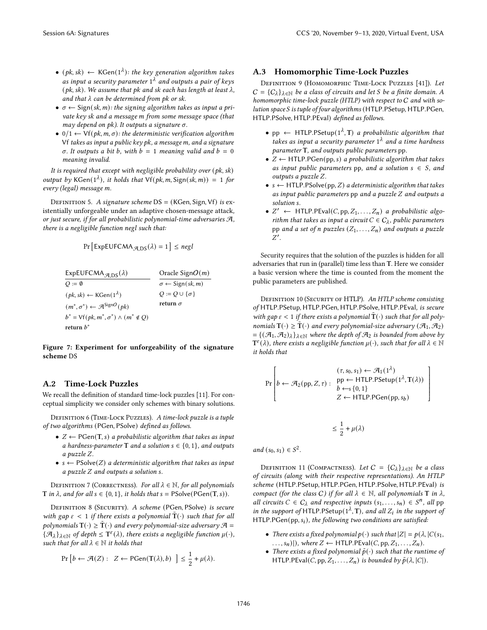- (pk, sk)  $\leftarrow$  KGen(1<sup> $\lambda$ </sup>): the key generation algorithm takes as input a security parameter  $1^{\lambda}$  and outputs a pair of keys (pk, sk). We assume that pk and sk each has length at least  $\lambda$ , and that  $\lambda$  can be determined from pk or sk.
- $\sigma \leftarrow$  Sign(sk, m): the signing algorithm takes as input a private key sk and a message m from some message space (that may depend on pk). It outputs a signature  $\sigma$ .
- 0/1  $\leftarrow$  Vf(pk, m,  $\sigma$ ): the deterministic verification algorithm Vf takes as input a public key  $pk$ , a message  $m$ , and a signature  $\sigma$ . It outputs a bit b, with  $b = 1$  meaning valid and  $b = 0$ meaning invalid.

It is required that except with negligible probability over (pk, sk) output by KGen( $1^{\lambda}$ ), it holds that Vf(pk, m, Sign(sk, m)) = 1 for every (legal) message m.

DEFINITION 5. A signature scheme  $DS = (KGen, Sign, Vf)$  is existentially unforgeable under an adaptive chosen-message attack, or just secure, if for all probabilistic polynomial-time adversaries A, there is a negligible function negl such that:

$$
Pr\left[\mathsf{ExpEUFCMA}_{\mathcal{A},DS}(\lambda) = 1\right] \leq negl
$$

```
ExpEUFCMA_{\mathcal{A},DS}(\lambda)\overline{O}:=\emptyset(pk, sk) \leftarrow {\sf KGen}(1^{\lambda})(m^*, \sigma^*) \leftarrow \mathcal{A}^{\text{SignO}}(pk)b^* = \mathsf{Vf}(pk, m^*, \sigma^*) \wedge (m^* \notin Q)return b^*Oracle SignO(m)\sigma \leftarrow Sign(sk, m)
                                                 Q := Q \cup \{\sigma\}return \sigma
```
Figure 7: Experiment for unforgeability of the signature scheme DS

## A.2 Time-Lock Puzzles

We recall the definition of standard time-lock puzzles [11]. For conceptual simplicity we consider only schemes with binary solutions.

DEFINITION 6 (TIME-LOCK PUZZLES). A time-lock puzzle is a tuple of two algorithms (PGen, PSolve) defined as follows.

- $Z \leftarrow \text{PGen}(T, s)$  a probabilistic algorithm that takes as input a hardness-parameter T and a solution  $s \in \{0, 1\}$ , and outputs a puzzle Z.
- $s \leftarrow \text{PSolve}(Z)$  a deterministic algorithm that takes as input  $a$  puzzle  $Z$  and outputs a solution  $s$ .

DEFINITION 7 (CORRECTNESS). For all  $\lambda \in \mathbb{N}$ , for all polynomials T in  $\lambda$ , and for all  $s \in \{0, 1\}$ , it holds that  $s = \text{PSolve}(\text{PGen}(T, s))$ .

DEFINITION 8 (SECURITY). A scheme (PGen, PSolve) is secure with gap  $\varepsilon < 1$  if there exists a polynomial  $\tilde{T}(\cdot)$  such that for all polynomials  $\mathrm{T}(\cdot)\geq \mathrm{\tilde{T}}(\cdot)$  and every polynomial-size adversary  $\mathcal{A}=$  $\{\mathcal{A}_{\lambda}\}_{\lambda \in \mathbb{N}}$  of depth  $\leq T^{\varepsilon}(\lambda)$ , there exists a negligible function  $\mu(\cdot)$ , such that for all  $\lambda \in \mathbb{N}$  it holds that

$$
\Pr\left[b \leftarrow \mathcal{A}(Z): Z \leftarrow \text{PGen}(T(\lambda), b) \right] \leq \frac{1}{2} + \mu(\lambda).
$$

#### A.3 Homomorphic Time-Lock Puzzles

Definition 9 (Homomorphic Time-Lock Puzzles [41]). Let  $C = \{C_{\lambda}\}_{{\lambda \in \mathbb{N}}}$  be a class of circuits and let S be a finite domain. A homomorphic time-lock puzzle (HTLP) with respect to C and with solution space S is tuple of four algorithms (HTLP.PSetup, HTLP.PGen, HTLP.PSolve, HTLP.PEval) defined as follows.

- pp  $\leftarrow$  HTLP.PSetup( $1^{\lambda}$ , T) a probabilistic algorithm that takes as input a security parameter  $1^{\lambda}$  and a time hardness parameter T, and outputs public parameters pp.
- $Z \leftarrow$  HTLP.PGen(pp, s) a probabilistic algorithm that takes as input public parameters pp, and a solution  $s \in S$ , and  $outouts$  a  $puzzle$   $Z$ .
- $s \leftarrow$  HTLP.PSolve(pp, Z) a deterministic algorithm that takes as input public parameters  $pp$  and a puzzle  $Z$  and outputs a solution s.
- $Z'$  ← HTLP.PEval(C, pp,  $Z_1, ..., Z_n$ ) a probabilistic algorithm that takes as input a circuit  $C \in C_{\lambda}$ , public parameters pp and a set of n puzzles  $(Z_1, \ldots, Z_n)$  and outputs a puzzle  $Z^{\prime}$ .

Security requires that the solution of the puzzles is hidden for all adversaries that run in (parallel) time less than T. Here we consider a basic version where the time is counted from the moment the public parameters are published.

DEFINITION 10 (SECURITY OF HTLP). An HTLP scheme consisting of HTLP.PSetup, HTLP.PGen, HTLP.PSolve, HTLP.PEval, is secure with gap  $\varepsilon < 1$  if there exists a polynomial  $\tilde{\mathbf{T}}(\cdot)$  such that for all polynomials  $T(\cdot) \geq \tilde{T}(\cdot)$  and every polynomial-size adversary  $(\mathcal{A}_1, \mathcal{A}_2)$  $=\{(\mathcal{A}_1,\mathcal{A}_2)_\lambda\}_{\lambda\in\mathbb{N}}$  where the depth of  $\mathcal{A}_2$  is bounded from above by  $\mathbf{T}^{\varepsilon}(\lambda)$ , there exists a negligible function  $\mu(\cdot)$ , such that for all  $\lambda \in \mathbb{N}$ it holds that

$$
\Pr\left[b \leftarrow \mathcal{A}_2(pp, Z, \tau): \begin{array}{c} (\tau, s_0, s_1) \leftarrow \mathcal{A}_1(1^{\lambda}) \\ pp \leftarrow \text{HTLP.PSetup}(1^{\lambda}, \text{T}(\lambda)) \\ b \leftarrow s \{0, 1\} \\ Z \leftarrow \text{HTLP.PGen}(pp, s_b) \end{array}\right]\right]
$$

$$
\leq \frac{1}{2} + \mu(\lambda)
$$

and  $(s_0, s_1) \in S^2$ .

DEFINITION 11 (COMPACTNESS). Let  $C = {C_\lambda}_{\lambda \in \mathbb{N}}$  be a class of circuits (along with their respective representations). An HTLP scheme (HTLP.PSetup, HTLP.PGen, HTLP.PSolve, HTLP.PEval) is compact (for the class C) if for all  $\lambda \in \mathbb{N}$ , all polynomials T in  $\lambda$ , all circuits  $C \in C_{\lambda}$  and respective inputs  $(s_1, ..., s_n) \in S^n$ , all pp in the support of HTLP.PSetup( $1^{\lambda}$ , T), and all  $Z_i$  in the support of HTLP.PGen(pp,  $s_i$ ), the following two conditions are satisfied:

- There exists a fixed polynomial  $p(\cdot)$  such that  $|Z| = p(\lambda, |C(s_1,$  $\dots, s_n)|$ , where  $Z \leftarrow \text{HTLP.PEval}(C, pp, Z_1, \dots, Z_n).$
- There exists a fixed polynomial  $\tilde{p}(\cdot)$  such that the runtime of HTLP.PEval(C, pp,  $Z_1, \ldots, Z_n$ ) is bounded by  $\tilde{p}(\lambda, |C|)$ .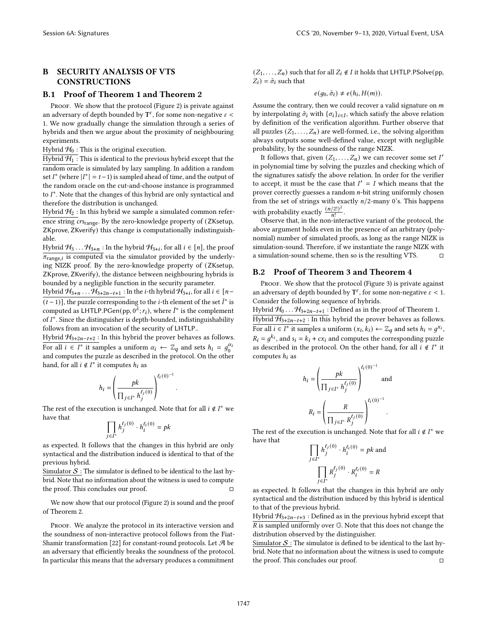# B SECURITY ANALYSIS OF VTS **CONSTRUCTIONS**

#### B.1 Proof of Theorem 1 and Theorem 2

PROOF. We show that the protocol (Figure 2) is private against an adversary of depth bounded by  $T^{\varepsilon}$ , for some non-negative  $\varepsilon$  < 1. We now gradually change the simulation through a series of hybrids and then we argue about the proximity of neighbouring experiments.

Hybrid  $\mathcal{H}_0$  : This is the original execution.

Hybrid  $H_1$ : This is identical to the previous hybrid except that the random oracle is simulated by lazy sampling. In addition a random set  $I^*$  (where  $|I^*| = t - 1$ ) is sampled ahead of time, and the output of the random oracle on the cut-and-choose instance is programmed to  $I^*$ . Note that the changes of this hybrid are only syntactical and therefore the distribution is unchanged.

Hybrid  $H_2$ : In this hybrid we sample a simulated common reference string crs<sub>range</sub>. By the zero-knowledge property of (ZKsetup, ZKprove, ZKverify) this change is computationally indistinguishable.

Hybrid  $H_3 \dots H_{3+n}$  : In the hybrid  $H_{3+i}$ , for all  $i \in [n]$ , the proof  $\pi_{\text{range}, i}$  is computed via the simulator provided by the underlying NIZK proof. By the zero-knowledge property of (ZKsetup, ZKprove, ZKverify), the distance between neighbouring hybrids is bounded by a negligible function in the security parameter.

Hybrid  $\mathcal{H}_{3+n}$  . . .  $\mathcal{H}_{3+2n-t+1}$  : In the *i*-th hybrid  $\mathcal{H}_{3+i}$ , for all  $i \in [n-1]$  $(t-1)$ ], the puzzle corresponding to the *i*-th element of the set  $\bar{I}^*$  is computed as <code>LHTLP.PGen(pp,0 $\lambda$ ; $r_i$ )</code>, where  $\bar{I}^*$  is the complement of  $I^*$ . Since the distinguisher is depth-bounded, indistinguishability follows from an invocation of the security of LHTLP..

Hybrid  $\mathcal{H}_{3+2n-t+2}$ : In this hybrid the prover behaves as follows. For all  $i \in I^*$  it samples a uniform  $\alpha_i \leftarrow \mathbb{Z}_q$  and sets  $h_i = g_0^{\alpha_i}$ and computes the puzzle as described in the protocol. On the other hand, for all  $i \notin I^*$  it computes  $h_i$  as

$$
h_i = \left(\frac{pk}{\prod_{j \in I^*} h_j^{\ell_j(0)}}\right)^{\ell_i(0)^{-1}}
$$

The rest of the execution is unchanged. Note that for all  $i \notin I^*$  we have that

.

$$
\prod_{j\in I^*}h_j^{\ell_j(0)}\cdot h_i^{\ell_i(0)}=pk
$$

as expected. It follows that the changes in this hybrid are only syntactical and the distribution induced is identical to that of the previous hybrid.

Simulator  $S$  : The simulator is defined to be identical to the last hybrid. Note that no information about the witness is used to compute the proof. This concludes our proof.  $□$ 

We now show that our protocol (Figure 2) is sound and the proof of Theorem 2.

PROOF. We analyze the protocol in its interactive version and the soundness of non-interactive protocol follows from the Fiat-Shamir transformation [22] for constant-round protocols. Let  $\mathcal A$  be an adversary that efficiently breaks the soundness of the protocol. In particular this means that the adversary produces a commitment

 $(Z_1, \ldots, Z_n)$  such that for all  $Z_i \notin I$  it holds that LHTLP.PSolve(pp,  $Z_i$ ) =  $\tilde{\sigma}_i$  such that

 $e(g_0, \tilde{\sigma}_i) \neq e(h_i, H(m)).$ 

Assume the contrary, then we could recover a valid signature on  $m$ by interpolating  $\tilde{\sigma}_i$  with  $\{\sigma_i\}_{i\in I}$ , which satisfy the above relation by definition of the verification algorithm. Further observe that all puzzles  $(Z_1, \ldots, Z_n)$  are well-formed, i.e., the solving algorithm always outputs some well-defined value, except with negligible probability, by the soundness of the range NIZK.

It follows that, given  $(Z_1, \ldots, Z_n)$  we can recover some set  $I'$ in polynomial time by solving the puzzles and checking which of the signatures satisfy the above relation. In order for the verifier to accept, it must be the case that  $I' = I$  which means that the prover correctly guesses a random  $n$ -bit string uniformly chosen from the set of strings with exactly  $n/2$ -many 0's. This happens with probability exactly  $\frac{(n/2!)^2}{n!}$  $\frac{1}{n!}$ .

Observe that, in the non-interactive variant of the protocol, the above argument holds even in the presence of an arbitrary (polynomial) number of simulated proofs, as long as the range NIZK is simulation-sound. Therefore, if we instantiate the range NIZK with a simulation-sound scheme, then so is the resulting VTS.  $\qquad \Box$ 

#### B.2 Proof of Theorem 3 and Theorem 4

PROOF. We show that the protocol (Figure 3) is private against an adversary of depth bounded by  $T^{\varepsilon}$ , for some non-negative  $\varepsilon < 1$ . Consider the following sequence of hybrids.

Hybrid  $\mathcal{H}_0 \dots \mathcal{H}_{3+2n-t+1}$  : Defined as in the proof of Theorem 1. Hybrid  $H_{3+2n-t+2}$ : In this hybrid the prover behaves as follows. For all  $i \in I^*$  it samples a uniform  $(x_i, k_i) \leftarrow \mathbb{Z}_q$  and sets  $h_i = g^{x_i}$ ,  $R_i = g^{k_i}$ , and  $s_i = k_i + cx_i$  and computes the corresponding puzzle as described in the protocol. On the other hand, for all  $i \notin I^*$  it computes  $h_i$  as

$$
h_i = \left(\frac{pk}{\prod_{j \in I^*} h_j^{\ell_j(0)}}\right)^{\ell_i(0)^{-1}} \text{ and }
$$

$$
R_i = \left(\frac{R}{\prod_{j \in I^*} R_j^{\ell_j(0)}}\right)^{\ell_i(0)^{-1}}.
$$

The rest of the execution is unchanged. Note that for all  $i \notin I^*$  we have that

$$
\prod_{j \in I^*} h_j^{\ell_j(0)} \cdot h_i^{\ell_i(0)} = pk
$$
 and  

$$
\prod_{j \in I^*} R_j^{\ell_j(0)} \cdot R_i^{\ell_i(0)} = R
$$

as expected. It follows that the changes in this hybrid are only syntactical and the distribution induced by this hybrid is identical to that of the previous hybrid.

Hybrid  $H_{3+2n-t+3}$ : Defined as in the previous hybrid except that  $\overline{R}$  is sampled uniformly over G. Note that this does not change the distribution observed by the distinguisher.

Simulator  $S$  : The simulator is defined to be identical to the last hybrid. Note that no information about the witness is used to compute the proof. This concludes our proof.  $□$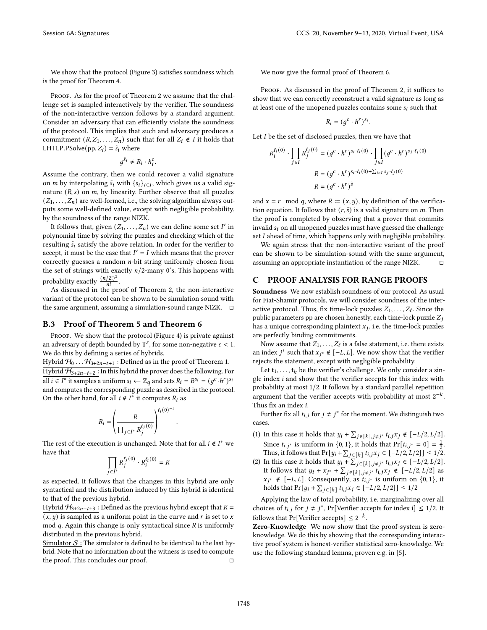We show that the protocol (Figure 3) satisfies soundness which is the proof for Theorem 4.

PROOF. As for the proof of Theorem 2 we assume that the challenge set is sampled interactively by the verifier. The soundness of the non-interactive version follows by a standard argument. Consider an adversary that can efficiently violate the soundness of the protocol. This implies that such and adversary produces a commitment  $(R, Z_1, \ldots, Z_n)$  such that for all  $Z_i \notin I$  it holds that LHTLP.PSolve(pp,  $Z_i$ ) =  $\tilde{s}_i$  where

 $g^{\tilde{s}_i} \neq R_i \cdot h_i^c$ .

Assume the contrary, then we could recover a valid signature on *m* by interpolating  $\tilde{s}_i$  with  $\{s_i\}_{i \in I}$ , which gives us a valid signature  $(R, s)$  on  $m$ , by linearity. Further observe that all puzzles  $(Z_1, \ldots, Z_n)$  are well-formed, i.e., the solving algorithm always outputs some well-defined value, except with negligible probability, by the soundness of the range NIZK.

It follows that, given  $(Z_1, \ldots, Z_n)$  we can define some set  $I'$  in polynomial time by solving the puzzles and checking which of the resulting  $\tilde{s}_i$  satisfy the above relation. In order for the verifier to accept, it must be the case that  $I' = I$  which means that the prover correctly guesses a random  $n$ -bit string uniformly chosen from the set of strings with exactly  $n/2$ -many 0's. This happens with probability exactly  $\frac{(n/2!)^2}{n!}$  $\frac{1}{n!}$ .

As discussed in the proof of Theorem 2, the non-interactive variant of the protocol can be shown to be simulation sound with the same argument, assuming a simulation-sound range NIZK.  $\square$ 

#### B.3 Proof of Theorem 5 and Theorem 6

PROOF. We show that the protocol (Figure 4) is private against an adversary of depth bounded by  $T^{\varepsilon}$ , for some non-negative  $\varepsilon < 1$ . We do this by defining a series of hybrids.

Hybrid  $\mathcal{H}_0 \dots \mathcal{H}_{3+2n-t+1}$  : Defined as in the proof of Theorem 1. Hybrid  $H_{3+2n-t+2}$ : In this hybrid the prover does the following. For all  $i \in I^*$  it samples a uniform  $s_i \leftarrow \mathbb{Z}_q$  and sets  $R_i = B^{s_i} = (g^c \cdot h^r)^{s_i}$ and computes the corresponding puzzle as described in the protocol. On the other hand, for all  $i \notin I^*$  it computes  $R_i$  as

$$
R_i = \left(\frac{R}{\prod_{j \in I^*} R_j^{\ell_j(0)}}\right)^{\ell_i(0)^{-1}}
$$

.

The rest of the execution is unchanged. Note that for all  $i \notin I^*$  we have that

$$
\prod_{j\in I^*}R_j^{\ell_j(0)}\cdot R_i^{\ell_i(0)}=R
$$

as expected. It follows that the changes in this hybrid are only syntactical and the distribution induced by this hybrid is identical to that of the previous hybrid.

Hybrid  $H_{3+2n-t+3}$ : Defined as the previous hybrid except that  $R =$  $(x, y)$  is sampled as a uniform point in the curve and r is set to x mod  $q$ . Again this change is only syntactical since  $R$  is uniformly distributed in the previous hybrid.

Simulator  $S$ : The simulator is defined to be identical to the last hybrid. Note that no information about the witness is used to compute the proof. This concludes our proof.  $□$ 

We now give the formal proof of Theorem 6.

PROOF. As discussed in the proof of Theorem 2, it suffices to show that we can correctly reconstruct a valid signature as long as at least one of the unopened puzzles contains some  $s_i$  such that

$$
R_i = (g^c \cdot h^r)^{s_i}.
$$

Let  $I$  be the set of disclosed puzzles, then we have that

$$
R_i^{ell(0)} \cdot \prod_{j \in I} R_j^{\ell_j(0)} = (g^c \cdot h^r)^{s_i \cdot \ell_i(0)} \cdot \prod_{j \in I} (g^c \cdot h^r)^{s_j \cdot \ell_j(0)}
$$

$$
R = (g^c \cdot h^r)^{s_i \cdot \ell_i(0) + \sum_{i \in I} s_j \cdot \ell_j(0)}
$$

$$
R = (g^c \cdot h^r)^{\tilde{s}}
$$

and  $x = r \mod q$ , where  $R := (x, y)$ , by definition of the verification equation. It follows that  $(r, \tilde{s})$  is a valid signature on m. Then the proof is completed by observing that a prover that commits invalid  $s_i$  on all unopened puzzles must have guessed the challenge set  $I$  ahead of time, which happens only with negligible probability.

We again stress that the non-interactive variant of the proof can be shown to be simulation-sound with the same argument, assuming an appropriate instantiation of the range NIZK.  $□$ 

## C PROOF ANALYSIS FOR RANGE PROOFS

Soundness We now establish soundness of our protocol. As usual for Fiat-Shamir protocols, we will consider soundness of the interactive protocol. Thus, fix time-lock puzzles  $Z_1, \ldots, Z_\ell$ . Since the public parameters pp are chosen honestly, each time-lock puzzle  $Z_j$ has a unique corresponding plaintext  $x_j$ , i.e. the time-lock puzzles are perfectly binding commitments.

Now assume that  $Z_1, \ldots, Z_\ell$  is a false statement, i.e. there exists an index  $j^*$  such that  $x_{j^*} \notin [-L, L]$ . We now show that the verifier rejects the statement, except with negligible probability.

Let  $t_1, \ldots, t_k$  be the verifier's challenge. We only consider a single index  $i$  and show that the verifier accepts for this index with probability at most 1/2. It follows by a standard parallel repetition argument that the verifier accepts with probability at most  $2^{-k}.$ Thus fix an index  $i$ .

Further fix all  $t_{i,j}$  for  $j \neq j^*$  for the moment. We distinguish two cases.

- (1) In this case it holds that  $y_i + \sum_{j \in [k], j \neq j^*} t_{i,j} x_j \notin [-L/2, L/2]$ . Since  $t_{i,j^*}$  is uniform in  $\{0, 1\}$ , it holds that  $Pr[t_{i,j^*} = 0] = \frac{1}{2}$ . Thus, it follows that  $Pr[y_i + \sum_{j \in [k]} t_{i,j} x_j \in [-L/2, L/2]] \leq 1/2$ .
- (2) In this case it holds that  $y_i + \sum_{j \in [k], j \neq j^*} t_{i,j} x_j \in [-L/2, L/2].$ It follows that  $y_i + x_{j^*} + \sum_{j \in [k], j \neq j^*} t_{i,j} x_j \notin [-L/2, L/2]$  as  $x_{j^*} \notin [-L, L]$ . Consequently, as  $t_{i,j^*}$  is uniform on  $\{0, 1\}$ , it holds that  $Pr[y_i + \sum_{j \in [k]} t_{i,j} x_j \in [-L/2, L/2]] \le 1/2$

Applying the law of total probability, i.e. marginalizing over all choices of  $t_{i,j}$  for  $j \neq j^*$ , Pr[Verifier accepts for index i]  $\leq 1/2$ . It follows that Pr[Verifier accepts]  $\leq 2^{-k}$ .

Zero-Knowledge We now show that the proof-system is zeroknowledge. We do this by showing that the corresponding interactive proof system is honest-verifier statistical zero-knowledge. We use the following standard lemma, proven e.g. in [5].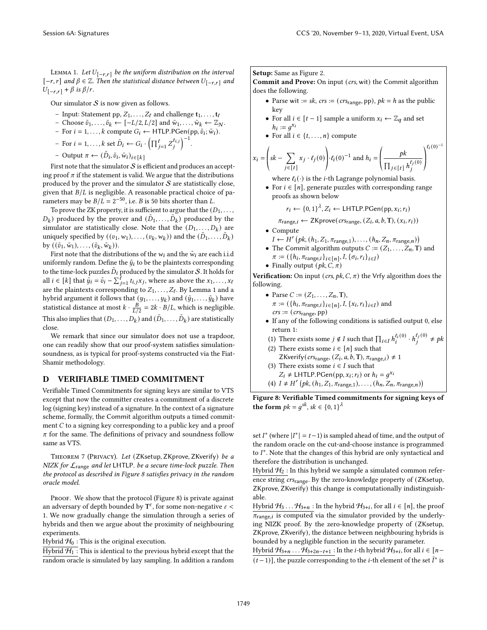LEMMA 1. Let  $U_{[-r,r]}$  be the uniform distribution on the interval  $[-r, r]$  and  $\beta \in \mathbb{Z}$ . Then the statistical distance between  $U_{[-r, r]}$  and  $U_{[-r,r]} + \beta$  is  $\beta/r$ .

Our simulator  $S$  is now given as follows.

- Input: Statement pp,  $Z_1, \ldots, Z_\ell$  and challenge  $\mathbf{t}_1, \ldots, \mathbf{t}_\ell$
- Choose  $\tilde{v}_1, \ldots, \tilde{v}_k$  ←  $[-L/2, L/2]$  and  $\tilde{w}_1, \ldots, \tilde{w}_k$  ←  $\mathbb{Z}_N$ .
- For  $i = 1, ..., k$  compute  $G_i \leftarrow \text{HTLP.PGen}(pp, \tilde{v}_i; \tilde{w}_i)$ .
- For  $i = 1, ..., k$  set  $\tilde{D}_i \leftarrow G_i \cdot \left( \prod_{j=1}^{\ell} Z_j^{t_{i,j}} \right)$ j  $\big)^{-1}.$

- Output  $\pi \leftarrow (\tilde{D}_i, \tilde{v}_i, \tilde{w}_i)_{i \in [k]}$ 

First note that the simulator  $S$  is efficient and produces an accepting proof  $\pi$  if the statement is valid. We argue that the distributions produced by the prover and the simulator  $S$  are statistically close, given that  $B/L$  is negligible. A reasonable practical choice of parameters may be  $B/L = 2^{-50}$ , i.e. *B* is 50 bits shorter than *L*.

To prove the ZK property, it is sufficient to argue that the  $(D_1, \ldots,$  $(D_k)$  produced by the prover and  $(\tilde{D}_1, \ldots, \tilde{D}_k)$  produced by the simulator are statistically close. Note that the  $(D_1, \ldots, D_k)$  are uniquely specified by  $((v_1, w_1), \ldots, (v_k, w_k))$  and the  $(\tilde{D}_1, \ldots, \tilde{D}_k)$ by  $((\tilde{v}_1, \tilde{w}_1), \ldots, (\tilde{v}_k, \tilde{w}_k)).$ 

First note that the distributions of the  $w_i$  and the  $\tilde{w}_i$  are each i.i.d uniformly random. Define the  $\tilde{y}_i$  to be the plaintexts corresponding to the time-lock puzzles  $\tilde{D}_i$  produced by the simulator  $\mathcal{S}.$  It holds for all  $i \in [k]$  that  $\tilde{y}_i = \tilde{v}_i - \sum_{j=1}^{\tilde{\ell}} t_{i,j} x_j$ , where as above the  $x_1, \ldots, x_\ell$ are the plaintexts corresponding to  $Z_1, \ldots, Z_\ell$ . By Lemma 1 and a hybrid argument it follows that  $(y_1, \ldots, y_k)$  and  $(\tilde{y}_1, \ldots, \tilde{y}_k)$  have statistical distance at most  $k \cdot \frac{B}{L/2} = 2k \cdot B/L$ , which is negligible. This also implies that  $(D_1, \ldots, D_k)$  and  $(\tilde{D}_1, \ldots, \tilde{D}_k)$  are statistically close.

We remark that since our simulator does not use a trapdoor, one can readily show that our proof-system satisfies simulationsoundness, as is typical for proof-systems constructed via the Fiat-Shamir methodology.

# D VERIFIABLE TIMED COMMITMENT

Verifiable Timed Commitments for signing keys are similar to VTS except that now the committer creates a commitment of a discrete log (signing key) instead of a signature. In the context of a signature scheme, formally, the Commit algorithm outputs a timed commitment  $C$  to a signing key corresponding to a public key and a proof  $\pi$  for the same. The definitions of privacy and soundness follow same as VTS.

THEOREM 7 (PRIVACY). Let (ZKsetup, ZKprove, ZKverify) be a NIZK for  $\mathcal{L}_{\text{range}}$  and let LHTLP. be a secure time-lock puzzle. Then the protocol as described in Figure 8 satisfies privacy in the random oracle model.

PROOF. We show that the protocol (Figure 8) is private against an adversary of depth bounded by  $T^{\varepsilon}$ , for some non-negative  $\varepsilon <$ 1. We now gradually change the simulation through a series of hybrids and then we argue about the proximity of neighbouring experiments.

Hybrid  $H_0$ : This is the original execution.

Hybrid  $H_1$  : This is identical to the previous hybrid except that the random oracle is simulated by lazy sampling. In addition a random Setup: Same as Figure 2.

Commit and Prove: On input (crs, wit) the Commit algorithm does the following.

- Parse wit := sk,  $crs$  := ( $crs<sub>range</sub>$ , pp),  $pk = h$  as the public key
- For all  $i \in [t-1]$  sample a uniform  $x_i \leftarrow \mathbb{Z}_q$  and set  $h_i := g^{x_i}$
- For all  $i \in \{t, \ldots, n\}$  compute

$$
x_i = \left(sk - \sum_{j \in [t]} x_j \cdot \ell_j(0)\right) \cdot \ell_i(0)^{-1} \text{ and } h_i = \left(\frac{pk}{\prod_{j \in [t]} h_j^{\ell_j(0)}}\right)^{\ell_i(0)^{-1}}
$$

where  $\ell_i(\cdot)$  is the *i*-th Lagrange polynomial basis.

• For  $i \in [n]$ , generate puzzles with corresponding range proofs as shown below

$$
r_i \leftarrow \{0,1\}^{\lambda}, Z_i \leftarrow \text{LHTLP.PGen}(pp, x_i; r_i)
$$

$$
\pi_{\text{range},i} \leftarrow \text{ZKprove}(cr_{\text{Range}}, (Z_i, a, b, T), (x_i, r_i))
$$

• Compute

- $I \leftarrow H' (pk, (h_1, Z_1, \pi_{range,1}), \ldots, (h_n, Z_n, \pi_{range,n}))$
- The Commit algorithm outputs  $C := (Z_1, \ldots, Z_n, T)$  and  $\pi := (\{h_i, \pi_{\text{range},i}\}_{i \in [n]}, I, \{\sigma_i, r_i\}_{i \in I})$
- Finally output  $(pk, C, \pi)$

Verification: On input (crs,  $pk$ ,  $C$ ,  $\pi$ ) the Vrfy algorithm does the following.

- Parse  $C := (Z_1, ..., Z_n, T),$  $\pi := (\{h_i, \pi_{\text{range},i}\}_{i \in [n]}, I, \{x_i, r_i\}_{i \in I})$  and  $\mathit{crs} := (\mathit{crs}_{\text{range}}, \text{pp})$
- If any of the following conditions is satisfied output 0, else return 1:
- (1) There exists some  $j \notin I$  such that  $\prod_{i \in I} h_i^{\ell_i(0)} \cdot h_j^{\ell_j(0)}$  $j^{(0)}$   $\neq$  pk
- (2) There exists some  $i \in [n]$  such that ZKverify( $crs<sub>range</sub>, (Z<sub>i</sub>, a, b, T), \pi<sub>range</sub>, i$ )  $\neq 1$
- (3) There exists some  $i \in I$  such that  $Z_i \neq \text{LHTLP-PGen}(pp, x_i; r_i)$  or  $h_i = g^{x_i}$
- (4)  $I \neq H'$   $\bigl( pk, (h_1, Z_1, \pi_{\text{range},1}), \ldots, (h_n, Z_n, \pi_{\text{range},n}) \bigr)$

Figure 8: Verifiable Timed commitments for signing keys of the form  $pk = g^{sk}$ ,  $sk \in \{0, 1\}^{\lambda}$ 

set  $I^*$  (where  $|I^*| = t - 1$ ) is sampled ahead of time, and the output of the random oracle on the cut-and-choose instance is programmed to  $I^*$ . Note that the changes of this hybrid are only syntactical and therefore the distribution is unchanged.

Hybrid  $\mathcal{H}_2$  : In this hybrid we sample a simulated common reference string crs<sub>range</sub>. By the zero-knowledge property of (ZKsetup, ZKprove, ZKverify) this change is computationally indistinguishable.

Hybrid  $H_3 \dots H_{3+n}$  : In the hybrid  $H_{3+i}$ , for all  $i \in [n]$ , the proof  $\overline{\pi_{\text{range},i}}$  is computed via the simulator provided by the underlying NIZK proof. By the zero-knowledge property of (ZKsetup, ZKprove, ZKverify), the distance between neighbouring hybrids is bounded by a negligible function in the security parameter.

Hybrid  $\mathcal{H}_{3+n}$  . . .  $\mathcal{H}_{3+2n-t+1}$  : In the *i*-th hybrid  $\mathcal{H}_{3+i}$ , for all  $i \in [n-1]$  $(t-1)$ ], the puzzle corresponding to the *i*-th element of the set  $\bar{I}^*$  is